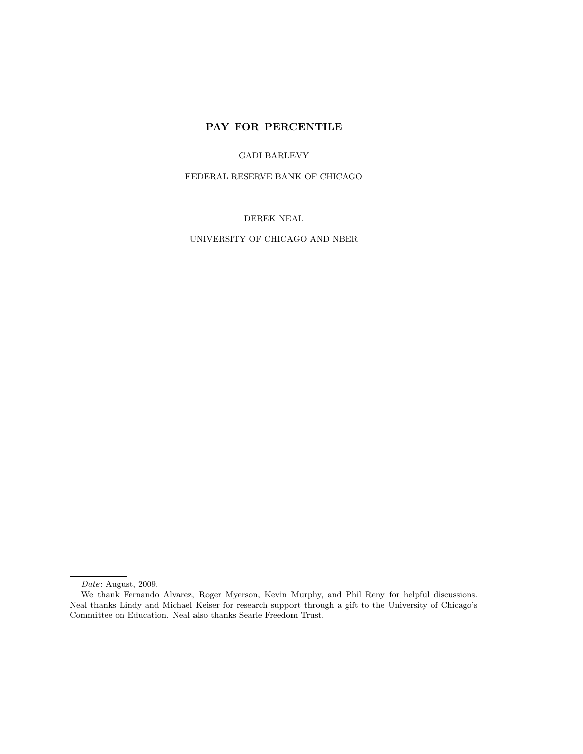# PAY FOR PERCENTILE

GADI BARLEVY

FEDERAL RESERVE BANK OF CHICAGO

DEREK NEAL

UNIVERSITY OF CHICAGO AND NBER

Date: August, 2009.

We thank Fernando Alvarez, Roger Myerson, Kevin Murphy, and Phil Reny for helpful discussions. Neal thanks Lindy and Michael Keiser for research support through a gift to the University of Chicago's Committee on Education. Neal also thanks Searle Freedom Trust.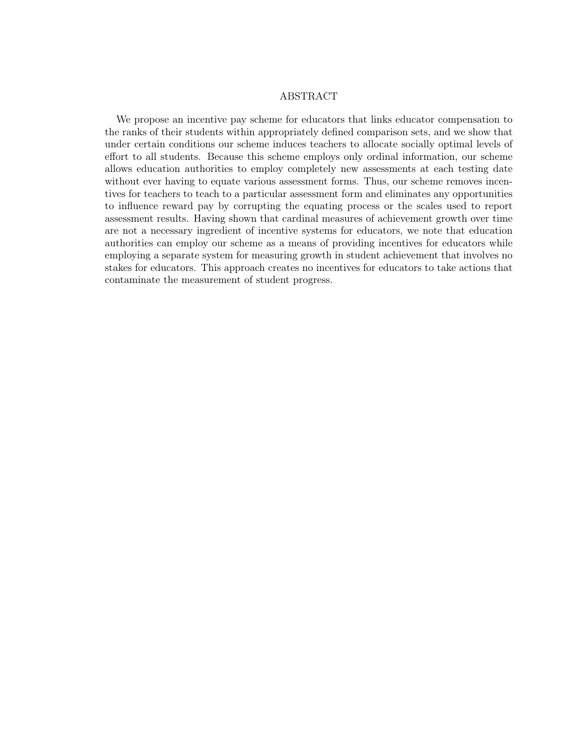# ABSTRACT

We propose an incentive pay scheme for educators that links educator compensation to the ranks of their students within appropriately defined comparison sets, and we show that under certain conditions our scheme induces teachers to allocate socially optimal levels of effort to all students. Because this scheme employs only ordinal information, our scheme allows education authorities to employ completely new assessments at each testing date without ever having to equate various assessment forms. Thus, our scheme removes incentives for teachers to teach to a particular assessment form and eliminates any opportunities to influence reward pay by corrupting the equating process or the scales used to report assessment results. Having shown that cardinal measures of achievement growth over time are not a necessary ingredient of incentive systems for educators, we note that education authorities can employ our scheme as a means of providing incentives for educators while employing a separate system for measuring growth in student achievement that involves no stakes for educators. This approach creates no incentives for educators to take actions that contaminate the measurement of student progress.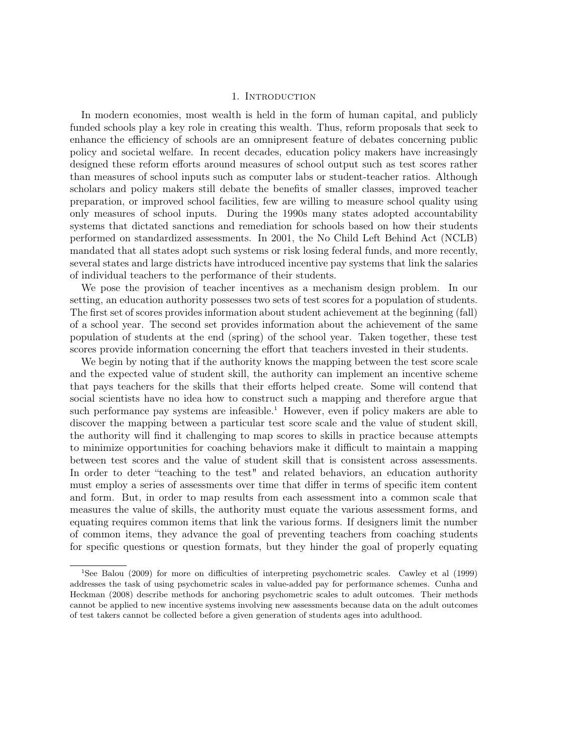# 1. INTRODUCTION

In modern economies, most wealth is held in the form of human capital, and publicly funded schools play a key role in creating this wealth. Thus, reform proposals that seek to enhance the efficiency of schools are an omnipresent feature of debates concerning public policy and societal welfare. In recent decades, education policy makers have increasingly designed these reform efforts around measures of school output such as test scores rather than measures of school inputs such as computer labs or student-teacher ratios. Although scholars and policy makers still debate the benefits of smaller classes, improved teacher preparation, or improved school facilities, few are willing to measure school quality using only measures of school inputs. During the 1990s many states adopted accountability systems that dictated sanctions and remediation for schools based on how their students performed on standardized assessments. In 2001, the No Child Left Behind Act (NCLB) mandated that all states adopt such systems or risk losing federal funds, and more recently, several states and large districts have introduced incentive pay systems that link the salaries of individual teachers to the performance of their students.

We pose the provision of teacher incentives as a mechanism design problem. In our setting, an education authority possesses two sets of test scores for a population of students. The first set of scores provides information about student achievement at the beginning (fall) of a school year. The second set provides information about the achievement of the same population of students at the end (spring) of the school year. Taken together, these test scores provide information concerning the effort that teachers invested in their students.

We begin by noting that if the authority knows the mapping between the test score scale and the expected value of student skill, the authority can implement an incentive scheme that pays teachers for the skills that their efforts helped create. Some will contend that social scientists have no idea how to construct such a mapping and therefore argue that such performance pay systems are infeasible.<sup>1</sup> However, even if policy makers are able to discover the mapping between a particular test score scale and the value of student skill, the authority will find it challenging to map scores to skills in practice because attempts to minimize opportunities for coaching behaviors make it difficult to maintain a mapping between test scores and the value of student skill that is consistent across assessments. In order to deter "teaching to the test" and related behaviors, an education authority must employ a series of assessments over time that differ in terms of specific item content and form. But, in order to map results from each assessment into a common scale that measures the value of skills, the authority must equate the various assessment forms, and equating requires common items that link the various forms. If designers limit the number of common items, they advance the goal of preventing teachers from coaching students for specific questions or question formats, but they hinder the goal of properly equating

<sup>1</sup>See Balou (2009) for more on difficulties of interpreting psychometric scales. Cawley et al (1999) addresses the task of using psychometric scales in value-added pay for performance schemes. Cunha and Heckman (2008) describe methods for anchoring psychometric scales to adult outcomes. Their methods cannot be applied to new incentive systems involving new assessments because data on the adult outcomes of test takers cannot be collected before a given generation of students ages into adulthood.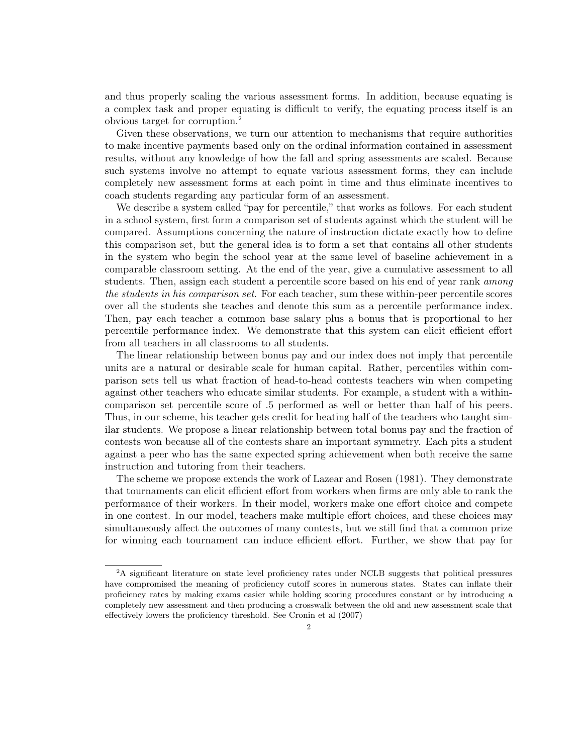and thus properly scaling the various assessment forms. In addition, because equating is a complex task and proper equating is difficult to verify, the equating process itself is an obvious target for corruption.<sup>2</sup>

Given these observations, we turn our attention to mechanisms that require authorities to make incentive payments based only on the ordinal information contained in assessment results, without any knowledge of how the fall and spring assessments are scaled. Because such systems involve no attempt to equate various assessment forms, they can include completely new assessment forms at each point in time and thus eliminate incentives to coach students regarding any particular form of an assessment.

We describe a system called "pay for percentile," that works as follows. For each student in a school system, first form a comparison set of students against which the student will be compared. Assumptions concerning the nature of instruction dictate exactly how to define this comparison set, but the general idea is to form a set that contains all other students in the system who begin the school year at the same level of baseline achievement in a comparable classroom setting. At the end of the year, give a cumulative assessment to all students. Then, assign each student a percentile score based on his end of year rank *among* the students in his comparison set. For each teacher, sum these within-peer percentile scores over all the students she teaches and denote this sum as a percentile performance index. Then, pay each teacher a common base salary plus a bonus that is proportional to her percentile performance index. We demonstrate that this system can elicit efficient effort from all teachers in all classrooms to all students.

The linear relationship between bonus pay and our index does not imply that percentile units are a natural or desirable scale for human capital. Rather, percentiles within comparison sets tell us what fraction of head-to-head contests teachers win when competing against other teachers who educate similar students. For example, a student with a withincomparison set percentile score of .5 performed as well or better than half of his peers. Thus, in our scheme, his teacher gets credit for beating half of the teachers who taught similar students. We propose a linear relationship between total bonus pay and the fraction of contests won because all of the contests share an important symmetry. Each pits a student against a peer who has the same expected spring achievement when both receive the same instruction and tutoring from their teachers.

The scheme we propose extends the work of Lazear and Rosen (1981). They demonstrate that tournaments can elicit efficient effort from workers when firms are only able to rank the performance of their workers. In their model, workers make one effort choice and compete in one contest. In our model, teachers make multiple effort choices, and these choices may simultaneously affect the outcomes of many contests, but we still find that a common prize for winning each tournament can induce efficient effort. Further, we show that pay for

<sup>2</sup>A significant literature on state level proficiency rates under NCLB suggests that political pressures have compromised the meaning of proficiency cutoff scores in numerous states. States can inflate their proficiency rates by making exams easier while holding scoring procedures constant or by introducing a completely new assessment and then producing a crosswalk between the old and new assessment scale that effectively lowers the proficiency threshold. See Cronin et al (2007)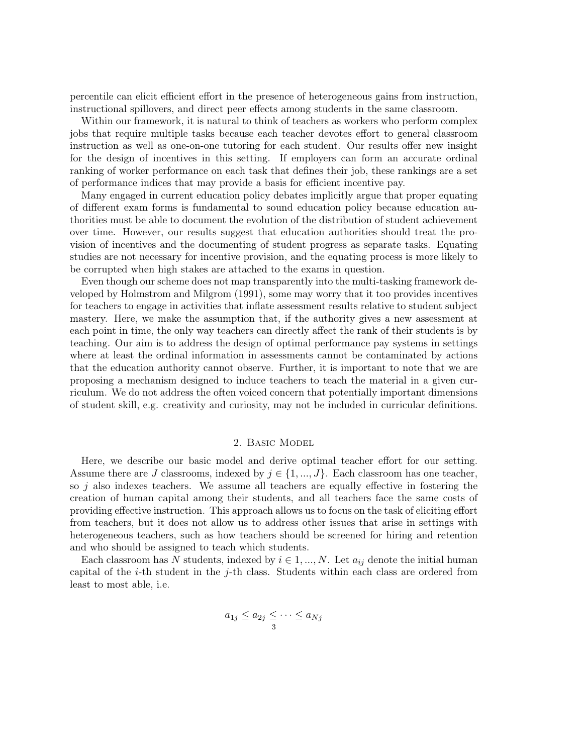percentile can elicit efficient effort in the presence of heterogeneous gains from instruction, instructional spillovers, and direct peer effects among students in the same classroom.

Within our framework, it is natural to think of teachers as workers who perform complex jobs that require multiple tasks because each teacher devotes effort to general classroom instruction as well as one-on-one tutoring for each student. Our results offer new insight for the design of incentives in this setting. If employers can form an accurate ordinal ranking of worker performance on each task that defines their job, these rankings are a set of performance indices that may provide a basis for efficient incentive pay.

Many engaged in current education policy debates implicitly argue that proper equating of different exam forms is fundamental to sound education policy because education authorities must be able to document the evolution of the distribution of student achievement over time. However, our results suggest that education authorities should treat the provision of incentives and the documenting of student progress as separate tasks. Equating studies are not necessary for incentive provision, and the equating process is more likely to be corrupted when high stakes are attached to the exams in question.

Even though our scheme does not map transparently into the multi-tasking framework developed by Holmstrom and Milgrom (1991), some may worry that it too provides incentives for teachers to engage in activities that inflate assessment results relative to student subject mastery. Here, we make the assumption that, if the authority gives a new assessment at each point in time, the only way teachers can directly affect the rank of their students is by teaching. Our aim is to address the design of optimal performance pay systems in settings where at least the ordinal information in assessments cannot be contaminated by actions that the education authority cannot observe. Further, it is important to note that we are proposing a mechanism designed to induce teachers to teach the material in a given curriculum. We do not address the often voiced concern that potentially important dimensions of student skill, e.g. creativity and curiosity, may not be included in curricular definitions.

#### 2. Basic Model

Here, we describe our basic model and derive optimal teacher effort for our setting. Assume there are J classrooms, indexed by  $j \in \{1, ..., J\}$ . Each classroom has one teacher, so  $j$  also indexes teachers. We assume all teachers are equally effective in fostering the creation of human capital among their students, and all teachers face the same costs of providing effective instruction. This approach allows us to focus on the task of eliciting effort from teachers, but it does not allow us to address other issues that arise in settings with heterogeneous teachers, such as how teachers should be screened for hiring and retention and who should be assigned to teach which students.

Each classroom has N students, indexed by  $i \in 1, ..., N$ . Let  $a_{ij}$  denote the initial human capital of the *i*-th student in the *j*-th class. Students within each class are ordered from least to most able, i.e.

$$
a_{1j} \le a_{2j} \le \cdots \le a_{Nj}
$$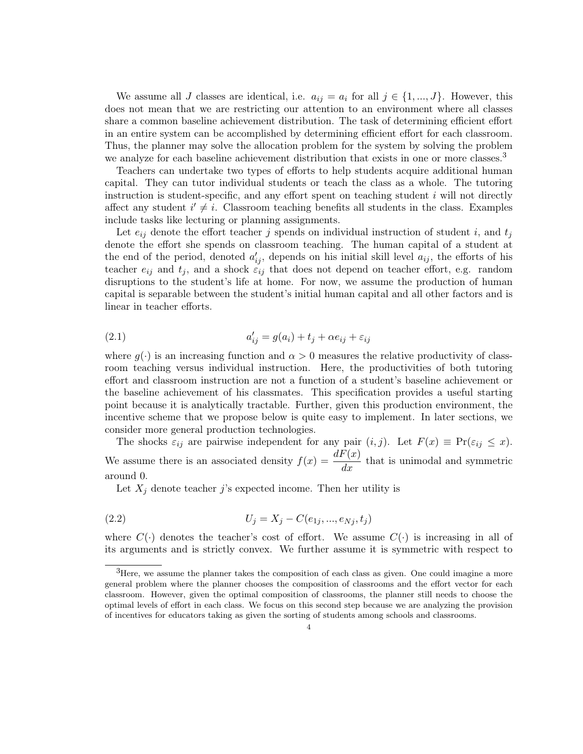We assume all J classes are identical, i.e.  $a_{ij} = a_i$  for all  $j \in \{1, ..., J\}$ . However, this does not mean that we are restricting our attention to an environment where all classes share a common baseline achievement distribution. The task of determining efficient effort in an entire system can be accomplished by determining efficient effort for each classroom. Thus, the planner may solve the allocation problem for the system by solving the problem we analyze for each baseline achievement distribution that exists in one or more classes.<sup>3</sup>

Teachers can undertake two types of efforts to help students acquire additional human capital. They can tutor individual students or teach the class as a whole. The tutoring instruction is student-specific, and any effort spent on teaching student  $i$  will not directly affect any student  $i' \neq i$ . Classroom teaching benefits all students in the class. Examples include tasks like lecturing or planning assignments.

Let  $e_{ij}$  denote the effort teacher j spends on individual instruction of student i, and  $t_i$ denote the effort she spends on classroom teaching. The human capital of a student at the end of the period, denoted  $a'_{ij}$ , depends on his initial skill level  $a_{ij}$ , the efforts of his teacher  $e_{ij}$  and  $t_j$ , and a shock  $\varepsilon_{ij}$  that does not depend on teacher effort, e.g. random disruptions to the student's life at home. For now, we assume the production of human capital is separable between the student's initial human capital and all other factors and is linear in teacher efforts.

(2.1) 
$$
a'_{ij} = g(a_i) + t_j + \alpha e_{ij} + \varepsilon_{ij}
$$

where  $g(\cdot)$  is an increasing function and  $\alpha > 0$  measures the relative productivity of classroom teaching versus individual instruction. Here, the productivities of both tutoring effort and classroom instruction are not a function of a student's baseline achievement or the baseline achievement of his classmates. This specification provides a useful starting point because it is analytically tractable. Further, given this production environment, the incentive scheme that we propose below is quite easy to implement. In later sections, we consider more general production technologies.

The shocks  $\varepsilon_{ij}$  are pairwise independent for any pair  $(i, j)$ . Let  $F(x) \equiv \Pr(\varepsilon_{ij} \leq x)$ . We assume there is an associated density  $f(x) = \frac{dF(x)}{dx}$  that is unimodal and symmetric around 0.

Let  $X_j$  denote teacher j's expected income. Then her utility is

(2.2) 
$$
U_j = X_j - C(e_{1j}, ..., e_{Nj}, t_j)
$$

where  $C(\cdot)$  denotes the teacher's cost of effort. We assume  $C(\cdot)$  is increasing in all of its arguments and is strictly convex. We further assume it is symmetric with respect to

 ${}^{3}$ Here, we assume the planner takes the composition of each class as given. One could imagine a more general problem where the planner chooses the composition of classrooms and the effort vector for each classroom. However, given the optimal composition of classrooms, the planner still needs to choose the optimal levels of effort in each class. We focus on this second step because we are analyzing the provision of incentives for educators taking as given the sorting of students among schools and classrooms.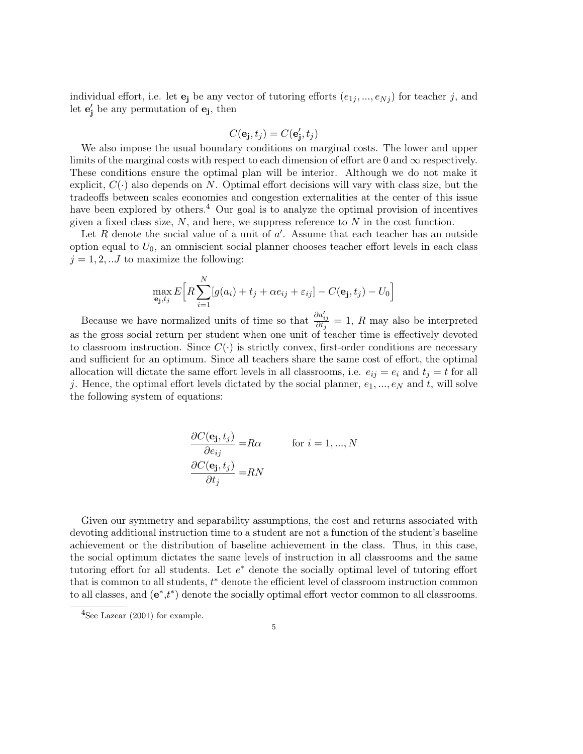individual effort, i.e. let  $\mathbf{e}_j$  be any vector of tutoring efforts  $(e_{1j},...,e_{Nj})$  for teacher j, and let  $\mathbf{e}'_j$  be any permutation of  $\mathbf{e}_j$ , then

$$
C(\mathbf{e_j}, t_j) = C(\mathbf{e'_j}, t_j)
$$

We also impose the usual boundary conditions on marginal costs. The lower and upper limits of the marginal costs with respect to each dimension of effort are 0 and  $\infty$  respectively. These conditions ensure the optimal plan will be interior. Although we do not make it explicit,  $C(\cdot)$  also depends on N. Optimal effort decisions will vary with class size, but the tradeoffs between scales economies and congestion externalities at the center of this issue have been explored by others.<sup>4</sup> Our goal is to analyze the optimal provision of incentives given a fixed class size,  $N$ , and here, we suppress reference to  $N$  in the cost function.

Let R denote the social value of a unit of  $a'$ . Assume that each teacher has an outside option equal to  $U_0$ , an omniscient social planner chooses teacher effort levels in each class  $j = 1, 2, \ldots J$  to maximize the following:

$$
\max_{\mathbf{e_j}, t_j} E\bigg[ R \sum_{i=1}^N [g(a_i) + t_j + \alpha e_{ij} + \varepsilon_{ij}] - C(\mathbf{e_j}, t_j) - U_0 \bigg]
$$

Because we have normalized units of time so that  $\frac{\partial a'_{ij}}{\partial t_j} = 1$ , R may also be interpreted as the gross social return per student when one unit of teacher time is effectively devoted to classroom instruction. Since  $C(\cdot)$  is strictly convex, first-order conditions are necessary and sufficient for an optimum. Since all teachers share the same cost of effort, the optimal allocation will dictate the same effort levels in all classrooms, i.e.  $e_{ij} = e_i$  and  $t_j = t$  for all j. Hence, the optimal effort levels dictated by the social planner,  $e_1, ..., e_N$  and t, will solve the following system of equations:

$$
\frac{\partial C(\mathbf{e_j}, t_j)}{\partial e_{ij}} = R\alpha \quad \text{for } i = 1, ..., N
$$

$$
\frac{\partial C(\mathbf{e_j}, t_j)}{\partial t_j} = RN
$$

Given our symmetry and separability assumptions, the cost and returns associated with devoting additional instruction time to a student are not a function of the student's baseline achievement or the distribution of baseline achievement in the class. Thus, in this case, the social optimum dictates the same levels of instruction in all classrooms and the same tutoring effort for all students. Let  $e^*$  denote the socially optimal level of tutoring effort that is common to all students,  $t^*$  denote the efficient level of classroom instruction common to all classes, and  $(e^*, t^*)$  denote the socially optimal effort vector common to all classrooms.

 $4$ See Lazear (2001) for example.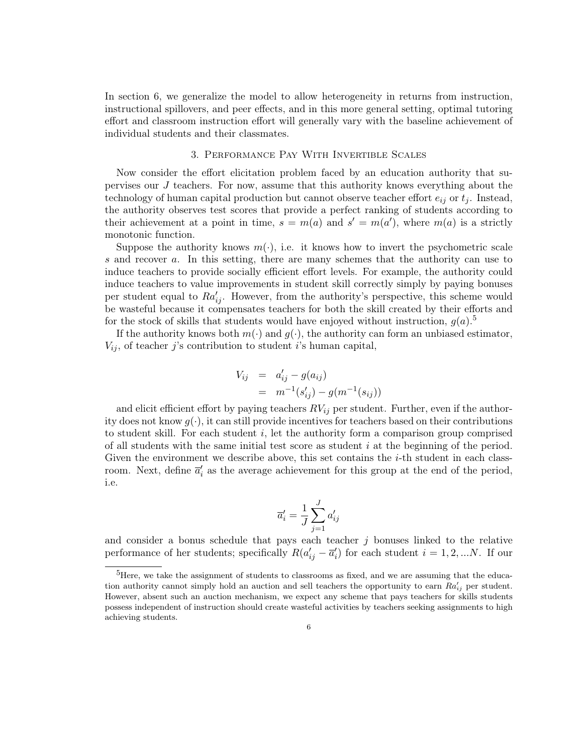In section 6, we generalize the model to allow heterogeneity in returns from instruction, instructional spillovers, and peer effects, and in this more general setting, optimal tutoring effort and classroom instruction effort will generally vary with the baseline achievement of individual students and their classmates.

# 3. Performance Pay With Invertible Scales

Now consider the effort elicitation problem faced by an education authority that supervises our J teachers. For now, assume that this authority knows everything about the technology of human capital production but cannot observe teacher effort  $e_{ij}$  or  $t_j$ . Instead, the authority observes test scores that provide a perfect ranking of students according to their achievement at a point in time,  $s = m(a)$  and  $s' = m(a')$ , where  $m(a)$  is a strictly monotonic function.

Suppose the authority knows  $m(\cdot)$ , i.e. it knows how to invert the psychometric scale s and recover a. In this setting, there are many schemes that the authority can use to induce teachers to provide socially efficient effort levels. For example, the authority could induce teachers to value improvements in student skill correctly simply by paying bonuses per student equal to  $Ra'_{ij}$ . However, from the authority's perspective, this scheme would be wasteful because it compensates teachers for both the skill created by their efforts and for the stock of skills that students would have enjoyed without instruction,  $g(a)$ .<sup>5</sup>

If the authority knows both  $m(\cdot)$  and  $g(\cdot)$ , the authority can form an unbiased estimator,  $V_{ij}$ , of teacher j's contribution to student i's human capital,

$$
V_{ij} = a'_{ij} - g(a_{ij})
$$
  
=  $m^{-1}(s'_{ij}) - g(m^{-1}(s_{ij}))$ 

and elicit efficient effort by paying teachers  $RV_{ij}$  per student. Further, even if the authority does not know  $q(\cdot)$ , it can still provide incentives for teachers based on their contributions to student skill. For each student  $i$ , let the authority form a comparison group comprised of all students with the same initial test score as student  $i$  at the beginning of the period. Given the environment we describe above, this set contains the  $i$ -th student in each classroom. Next, define  $\overline{a}'_i$  as the average achievement for this group at the end of the period, i.e.

$$
\overline{a}'_i = \frac{1}{J}\sum_{j=1}^J a'_{ij}
$$

and consider a bonus schedule that pays each teacher  $j$  bonuses linked to the relative performance of her students; specifically  $R(a'_{ij} - \overline{a}'_i)$  for each student  $i = 1, 2, ...N$ . If our

<sup>&</sup>lt;sup>5</sup>Here, we take the assignment of students to classrooms as fixed, and we are assuming that the education authority cannot simply hold an auction and sell teachers the opportunity to earn  $Ra'_{ij}$  per student. However, absent such an auction mechanism, we expect any scheme that pays teachers for skills students possess independent of instruction should create wasteful activities by teachers seeking assignments to high achieving students.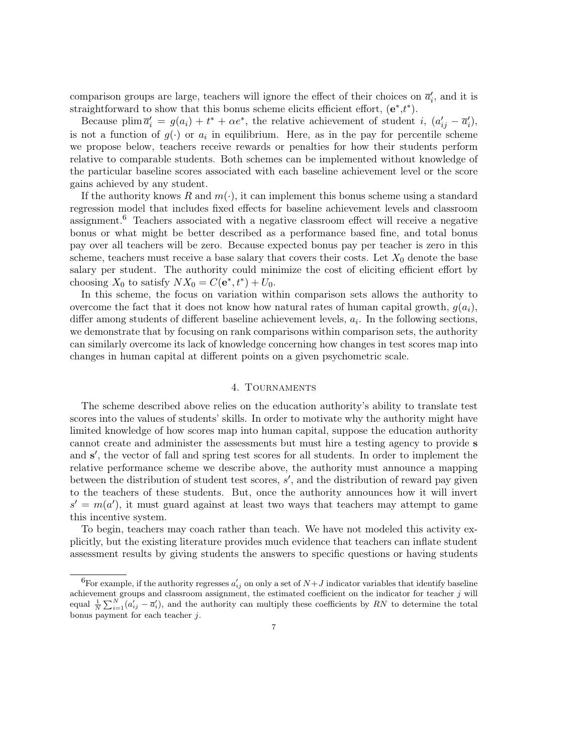comparison groups are large, teachers will ignore the effect of their choices on  $\overline{a}'_i$ , and it is straightforward to show that this bonus scheme elicits efficient effort,  $(e^*, t^*)$ .

Because plim  $\overline{a}'_i = g(a_i) + t^* + \alpha e^*$ , the relative achievement of student i,  $(a'_{ij} - \overline{a}'_i)$ , is not a function of  $g(\cdot)$  or  $a_i$  in equilibrium. Here, as in the pay for percentile scheme we propose below, teachers receive rewards or penalties for how their students perform relative to comparable students. Both schemes can be implemented without knowledge of the particular baseline scores associated with each baseline achievement level or the score gains achieved by any student.

If the authority knows R and  $m(\cdot)$ , it can implement this bonus scheme using a standard regression model that includes fixed effects for baseline achievement levels and classroom assignment.<sup>6</sup> Teachers associated with a negative classroom effect will receive a negative bonus or what might be better described as a performance based fine, and total bonus pay over all teachers will be zero. Because expected bonus pay per teacher is zero in this scheme, teachers must receive a base salary that covers their costs. Let  $X_0$  denote the base salary per student. The authority could minimize the cost of eliciting efficient effort by choosing  $X_0$  to satisfy  $NX_0 = C(e^*, t^*) + U_0$ .

In this scheme, the focus on variation within comparison sets allows the authority to overcome the fact that it does not know how natural rates of human capital growth,  $q(a_i)$ , differ among students of different baseline achievement levels,  $a_i$ . In the following sections, we demonstrate that by focusing on rank comparisons within comparison sets, the authority can similarly overcome its lack of knowledge concerning how changes in test scores map into changes in human capital at different points on a given psychometric scale.

# 4. Tournaments

The scheme described above relies on the education authority's ability to translate test scores into the values of students' skills. In order to motivate why the authority might have limited knowledge of how scores map into human capital, suppose the education authority cannot create and administer the assessments but must hire a testing agency to provide s and s', the vector of fall and spring test scores for all students. In order to implement the relative performance scheme we describe above, the authority must announce a mapping between the distribution of student test scores,  $s'$ , and the distribution of reward pay given to the teachers of these students. But, once the authority announces how it will invert  $s' = m(a')$ , it must guard against at least two ways that teachers may attempt to game this incentive system.

To begin, teachers may coach rather than teach. We have not modeled this activity explicitly, but the existing literature provides much evidence that teachers can inflate student assessment results by giving students the answers to specific questions or having students

<sup>&</sup>lt;sup>6</sup>For example, if the authority regresses  $a'_{ij}$  on only a set of  $N+J$  indicator variables that identify baseline achievement groups and classroom assignment, the estimated coefficient on the indicator for teacher  $j$  will equal  $\frac{1}{N}\sum_{i=1}^{N}(a'_{ij}-\overline{a}'_i)$ , and the authority can multiply these coefficients by RN to determine the total bonus payment for each teacher j.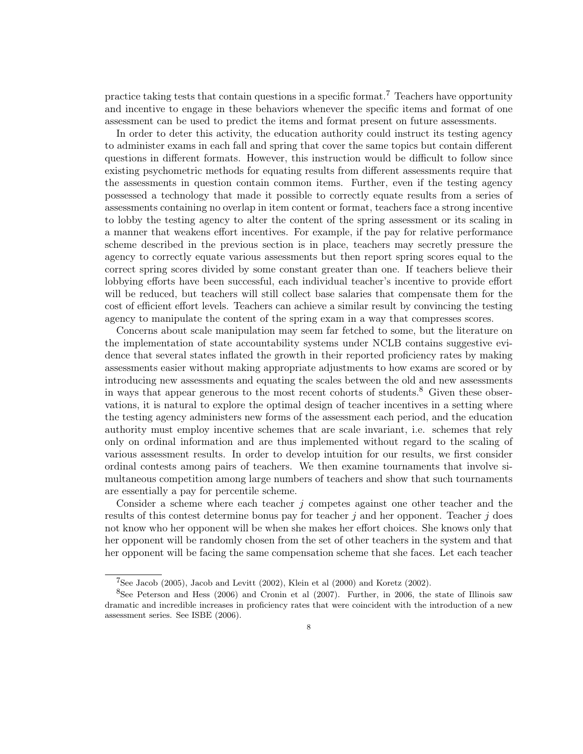practice taking tests that contain questions in a specific format.<sup>7</sup> Teachers have opportunity and incentive to engage in these behaviors whenever the specific items and format of one assessment can be used to predict the items and format present on future assessments.

In order to deter this activity, the education authority could instruct its testing agency to administer exams in each fall and spring that cover the same topics but contain different questions in different formats. However, this instruction would be difficult to follow since existing psychometric methods for equating results from different assessments require that the assessments in question contain common items. Further, even if the testing agency possessed a technology that made it possible to correctly equate results from a series of assessments containing no overlap in item content or format, teachers face a strong incentive to lobby the testing agency to alter the content of the spring assessment or its scaling in a manner that weakens effort incentives. For example, if the pay for relative performance scheme described in the previous section is in place, teachers may secretly pressure the agency to correctly equate various assessments but then report spring scores equal to the correct spring scores divided by some constant greater than one. If teachers believe their lobbying efforts have been successful, each individual teacher's incentive to provide effort will be reduced, but teachers will still collect base salaries that compensate them for the cost of efficient effort levels. Teachers can achieve a similar result by convincing the testing agency to manipulate the content of the spring exam in a way that compresses scores.

Concerns about scale manipulation may seem far fetched to some, but the literature on the implementation of state accountability systems under NCLB contains suggestive evidence that several states inflated the growth in their reported proficiency rates by making assessments easier without making appropriate adjustments to how exams are scored or by introducing new assessments and equating the scales between the old and new assessments in ways that appear generous to the most recent cohorts of students.<sup>8</sup> Given these observations, it is natural to explore the optimal design of teacher incentives in a setting where the testing agency administers new forms of the assessment each period, and the education authority must employ incentive schemes that are scale invariant, i.e. schemes that rely only on ordinal information and are thus implemented without regard to the scaling of various assessment results. In order to develop intuition for our results, we first consider ordinal contests among pairs of teachers. We then examine tournaments that involve simultaneous competition among large numbers of teachers and show that such tournaments are essentially a pay for percentile scheme.

Consider a scheme where each teacher  $i$  competes against one other teacher and the results of this contest determine bonus pay for teacher  $j$  and her opponent. Teacher  $j$  does not know who her opponent will be when she makes her effort choices. She knows only that her opponent will be randomly chosen from the set of other teachers in the system and that her opponent will be facing the same compensation scheme that she faces. Let each teacher

 $7$ See Jacob (2005), Jacob and Levitt (2002), Klein et al (2000) and Koretz (2002).

<sup>8</sup>See Peterson and Hess (2006) and Cronin et al (2007). Further, in 2006, the state of Illinois saw dramatic and incredible increases in proficiency rates that were coincident with the introduction of a new assessment series. See ISBE (2006).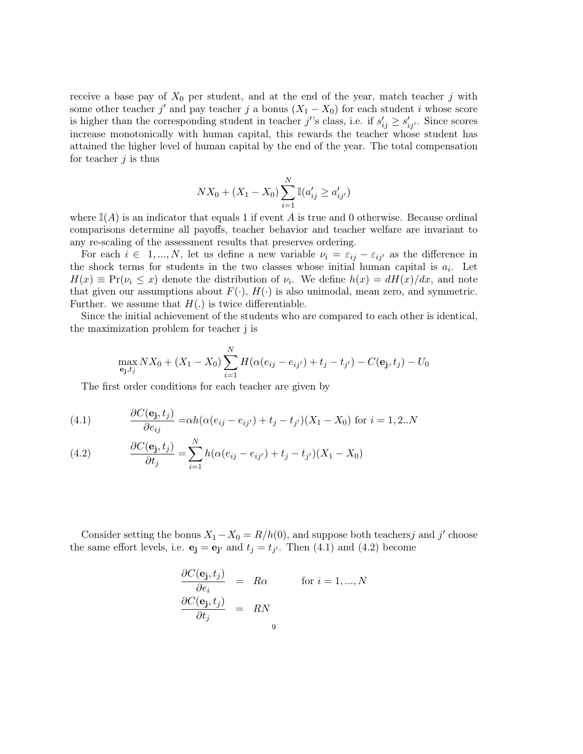receive a base pay of  $X_0$  per student, and at the end of the year, match teacher j with some other teacher j' and pay teacher j a bonus  $(X_1 - X_0)$  for each student i whose score is higher than the corresponding student in teacher j''s class, i.e. if  $s'_{ij} \geq s'_{ij'}$ . Since scores increase monotonically with human capital, this rewards the teacher whose student has attained the higher level of human capital by the end of the year. The total compensation for teacher  $j$  is thus

$$
NX_0 + (X_1 - X_0) \sum_{i=1}^{N} \mathbb{I}(a'_{ij} \ge a'_{ij'})
$$

where  $\mathbb{I}(A)$  is an indicator that equals 1 if event A is true and 0 otherwise. Because ordinal comparisons determine all payoffs, teacher behavior and teacher welfare are invariant to any re-scaling of the assessment results that preserves ordering.

For each  $i \in 1, ..., N$ , let us define a new variable  $\nu_i = \varepsilon_{ij} - \varepsilon_{ij'}$  as the difference in the shock terms for students in the two classes whose initial human capital is  $a_i$ . Let  $H(x) \equiv Pr(\nu_i \leq x)$  denote the distribution of  $\nu_i$ . We define  $h(x) = dH(x)/dx$ , and note that given our assumptions about  $F(\cdot)$ ,  $H(\cdot)$  is also unimodal, mean zero, and symmetric. Further. we assume that  $H(.)$  is twice differentiable.

Since the initial achievement of the students who are compared to each other is identical, the maximization problem for teacher j is

$$
\max_{\mathbf{e}_{\mathbf{j}},t_j}NX_0 + (X_1 - X_0) \sum_{i=1}^N H(\alpha(e_{ij} - e_{ij'}) + t_j - t_{j'}) - C(\mathbf{e}_{\mathbf{j}},t_j) - U_0
$$

The first order conditions for each teacher are given by

(4.1) 
$$
\frac{\partial C(\mathbf{e_j}, t_j)}{\partial e_{ij}} = \alpha h (\alpha (e_{ij} - e_{ij'}) + t_j - t_{j'})(X_1 - X_0) \text{ for } i = 1, 2..N
$$

(4.2) 
$$
\frac{\partial C(\mathbf{e_j}, t_j)}{\partial t_j} = \sum_{i=1}^{N} h(\alpha(e_{ij} - e_{ij'}) + t_j - t_{j'})(X_1 - X_0)
$$

Consider setting the bonus  $X_1 - X_0 = R/h(0)$ , and suppose both teachersj and j' choose the same effort levels, i.e.  $\mathbf{e}_j = \mathbf{e}_{j'}$  and  $t_j = t_{j'}$ . Then (4.1) and (4.2) become

$$
\frac{\partial C(\mathbf{e_j}, t_j)}{\partial e_i} = R\alpha \quad \text{for } i = 1, ..., N
$$
  

$$
\frac{\partial C(\mathbf{e_j}, t_j)}{\partial t_j} = RN
$$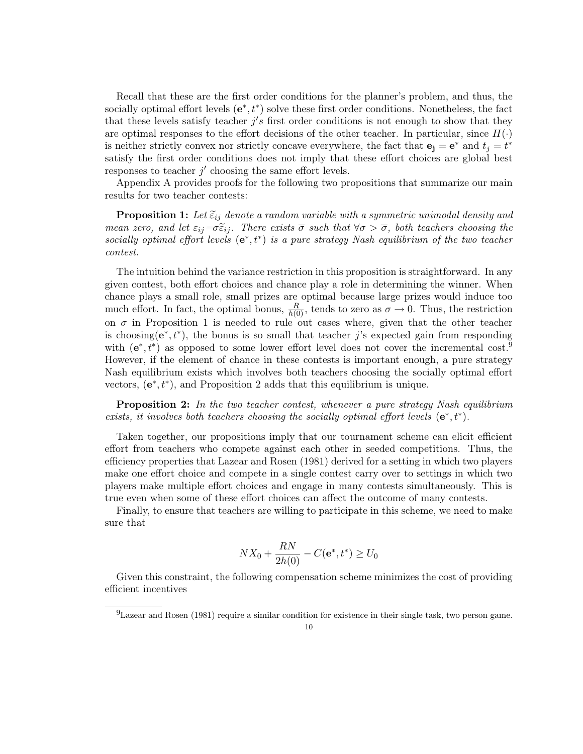Recall that these are the first order conditions for the planner's problem, and thus, the socially optimal effort levels  $(e^*, t^*)$  solve these first order conditions. Nonetheless, the fact that these levels satisfy teacher  $j's$  first order conditions is not enough to show that they are optimal responses to the effort decisions of the other teacher. In particular, since  $H(\cdot)$ is neither strictly convex nor strictly concave everywhere, the fact that  $\mathbf{e}_j = \mathbf{e}^*$  and  $t_j = t^*$ satisfy the first order conditions does not imply that these effort choices are global best responses to teacher  $j'$  choosing the same effort levels.

Appendix A provides proofs for the following two propositions that summarize our main results for two teacher contests:

**Proposition 1:** Let  $\tilde{\epsilon}_{ij}$  denote a random variable with a symmetric unimodal density and mean zero, and let  $\varepsilon_{ij}=\sigma \tilde{\varepsilon}_{ij}$ . There exists  $\overline{\sigma}$  such that  $\forall \sigma > \overline{\sigma}$ , both teachers choosing the socially optimal effort levels  $(e^*, t^*)$  is a pure strategy Nash equilibrium of the two teacher contest.

The intuition behind the variance restriction in this proposition is straightforward. In any given contest, both effort choices and chance play a role in determining the winner. When chance plays a small role, small prizes are optimal because large prizes would induce too much effort. In fact, the optimal bonus,  $\frac{R}{h(0)}$ , tends to zero as  $\sigma \to 0$ . Thus, the restriction on  $\sigma$  in Proposition 1 is needed to rule out cases where, given that the other teacher is choosing( $e^*, t^*$ ), the bonus is so small that teacher j's expected gain from responding with  $(e^*, t^*)$  as opposed to some lower effort level does not cover the incremental cost.<sup>9</sup> However, if the element of chance in these contests is important enough, a pure strategy Nash equilibrium exists which involves both teachers choosing the socially optimal effort vectors,  $(e^*, t^*)$ , and Proposition 2 adds that this equilibrium is unique.

**Proposition 2:** In the two teacher contest, whenever a pure strategy Nash equilibrium exists, it involves both teachers choosing the socially optimal effort levels  $(e^*, t^*)$ .

Taken together, our propositions imply that our tournament scheme can elicit efficient effort from teachers who compete against each other in seeded competitions. Thus, the efficiency properties that Lazear and Rosen (1981) derived for a setting in which two players make one effort choice and compete in a single contest carry over to settings in which two players make multiple effort choices and engage in many contests simultaneously. This is true even when some of these effort choices can affect the outcome of many contests.

Finally, to ensure that teachers are willing to participate in this scheme, we need to make sure that

$$
NX_0 + \frac{RN}{2h(0)} - C(\mathbf{e}^*, t^*) \ge U_0
$$

Given this constraint, the following compensation scheme minimizes the cost of providing efficient incentives

 $^{9}$ Lazear and Rosen (1981) require a similar condition for existence in their single task, two person game.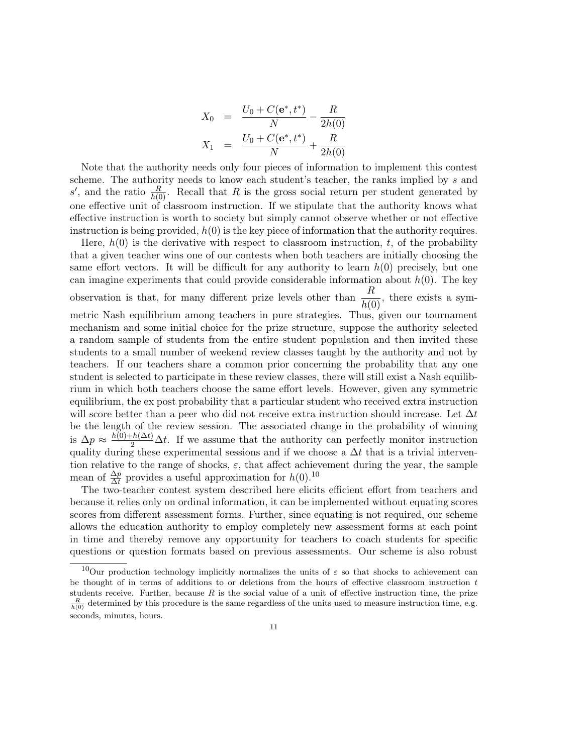$$
X_0 = \frac{U_0 + C(e^*, t^*)}{N} - \frac{R}{2h(0)}
$$
  

$$
X_1 = \frac{U_0 + C(e^*, t^*)}{N} + \frac{R}{2h(0)}
$$

Note that the authority needs only four pieces of information to implement this contest scheme. The authority needs to know each student's teacher, the ranks implied by s and s', and the ratio  $\frac{R}{h(0)}$ . Recall that R is the gross social return per student generated by one effective unit of classroom instruction. If we stipulate that the authority knows what effective instruction is worth to society but simply cannot observe whether or not effective instruction is being provided,  $h(0)$  is the key piece of information that the authority requires.

Here,  $h(0)$  is the derivative with respect to classroom instruction, t, of the probability that a given teacher wins one of our contests when both teachers are initially choosing the same effort vectors. It will be difficult for any authority to learn  $h(0)$  precisely, but one can imagine experiments that could provide considerable information about  $h(0)$ . The key observation is that, for many different prize levels other than  $\frac{R}{h(0)}$ , there exists a symmetric Nash equilibrium among teachers in pure strategies. Thus, given our tournament mechanism and some initial choice for the prize structure, suppose the authority selected a random sample of students from the entire student population and then invited these students to a small number of weekend review classes taught by the authority and not by teachers. If our teachers share a common prior concerning the probability that any one student is selected to participate in these review classes, there will still exist a Nash equilibrium in which both teachers choose the same effort levels. However, given any symmetric equilibrium, the ex post probability that a particular student who received extra instruction will score better than a peer who did not receive extra instruction should increase. Let  $\Delta t$ be the length of the review session. The associated change in the probability of winning is  $\Delta p \approx \frac{h(0)+h(\Delta t)}{2} \Delta t$ . If we assume that the authority can perfectly monitor instruction quality during these experimental sessions and if we choose a  $\Delta t$  that is a trivial intervention relative to the range of shocks,  $\varepsilon$ , that affect achievement during the year, the sample mean of  $\frac{\Delta p}{\Delta t}$  provides a useful approximation for  $h(0).^{10}$ 

The two-teacher contest system described here elicits efficient effort from teachers and because it relies only on ordinal information, it can be implemented without equating scores scores from different assessment forms. Further, since equating is not required, our scheme allows the education authority to employ completely new assessment forms at each point in time and thereby remove any opportunity for teachers to coach students for specific questions or question formats based on previous assessments. Our scheme is also robust

<sup>&</sup>lt;sup>10</sup>Our production technology implicitly normalizes the units of  $\varepsilon$  so that shocks to achievement can be thought of in terms of additions to or deletions from the hours of effective classroom instruction  $t$ students receive. Further, because  $R$  is the social value of a unit of effective instruction time, the prize  $\frac{R}{h(0)}$  determined by this procedure is the same regardless of the units used to measure instruction time, e.g. seconds, minutes, hours.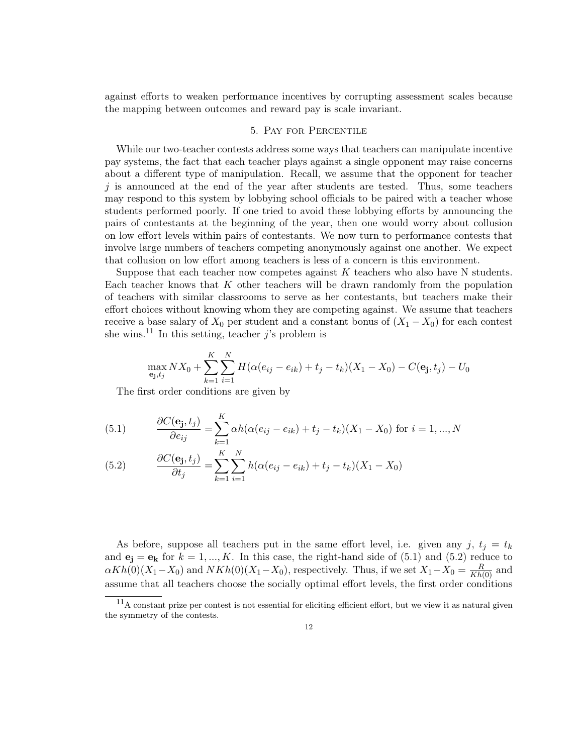against efforts to weaken performance incentives by corrupting assessment scales because the mapping between outcomes and reward pay is scale invariant.

# 5. Pay for Percentile

While our two-teacher contests address some ways that teachers can manipulate incentive pay systems, the fact that each teacher plays against a single opponent may raise concerns about a different type of manipulation. Recall, we assume that the opponent for teacher  $j$  is announced at the end of the year after students are tested. Thus, some teachers may respond to this system by lobbying school officials to be paired with a teacher whose students performed poorly. If one tried to avoid these lobbying efforts by announcing the pairs of contestants at the beginning of the year, then one would worry about collusion on low effort levels within pairs of contestants. We now turn to performance contests that involve large numbers of teachers competing anonymously against one another. We expect that collusion on low effort among teachers is less of a concern is this environment.

Suppose that each teacher now competes against  $K$  teachers who also have N students. Each teacher knows that  $K$  other teachers will be drawn randomly from the population of teachers with similar classrooms to serve as her contestants, but teachers make their effort choices without knowing whom they are competing against. We assume that teachers receive a base salary of  $X_0$  per student and a constant bonus of  $(X_1 - X_0)$  for each contest she wins.<sup>11</sup> In this setting, teacher  $j$ 's problem is

$$
\max_{\mathbf{e_j}, t_j} N X_0 + \sum_{k=1}^K \sum_{i=1}^N H(\alpha(e_{ij} - e_{ik}) + t_j - t_k)(X_1 - X_0) - C(\mathbf{e_j}, t_j) - U_0
$$

The first order conditions are given by

(5.1) 
$$
\frac{\partial C(\mathbf{e_j}, t_j)}{\partial e_{ij}} = \sum_{k=1}^{K} \alpha h (\alpha (e_{ij} - e_{ik}) + t_j - t_k)(X_1 - X_0) \text{ for } i = 1, ..., N
$$

(5.2) 
$$
\frac{\partial C(\mathbf{e_j}, t_j)}{\partial t_j} = \sum_{k=1}^{K} \sum_{i=1}^{N} h(\alpha(e_{ij} - e_{ik}) + t_j - t_k)(X_1 - X_0)
$$

As before, suppose all teachers put in the same effort level, i.e. given any j,  $t_i = t_k$ and  $\mathbf{e}_j = \mathbf{e}_k$  for  $k = 1, ..., K$ . In this case, the right-hand side of (5.1) and (5.2) reduce to  $\alpha Kh(0)(X_1 - X_0)$  and  $NKh(0)(X_1 - X_0)$ , respectively. Thus, if we set  $X_1 - X_0 = \frac{R}{Kh(0)}$  and assume that all teachers choose the socially optimal effort levels, the first order conditions

<sup>11</sup>A constant prize per contest is not essential for eliciting efficient effort, but we view it as natural given the symmetry of the contests.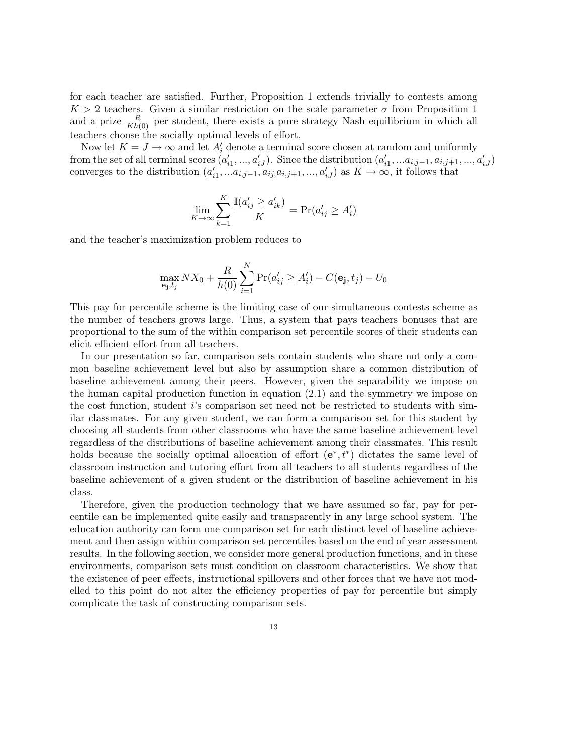for each teacher are satisfied. Further, Proposition 1 extends trivially to contests among  $K > 2$  teachers. Given a similar restriction on the scale parameter  $\sigma$  from Proposition 1 and a prize  $\frac{R}{Kh(0)}$  per student, there exists a pure strategy Nash equilibrium in which all teachers choose the socially optimal levels of effort.

Now let  $K = J \to \infty$  and let  $A'_i$  denote a terminal score chosen at random and uniformly from the set of all terminal scores  $(a'_{i1},...,a'_{iJ})$ . Since the distribution  $(a'_{i1},...a_{i,j-1},a_{i,j+1},...,a'_{iJ})$ converges to the distribution  $(a'_{i1}, \ldots a_{i,j-1}, a_{ij}, a_{i,j+1}, \ldots, a'_{iJ})$  as  $K \to \infty$ , it follows that

$$
\lim_{K \to \infty} \sum_{k=1}^{K} \frac{\mathbb{I}(a'_{ij} \ge a'_{ik})}{K} = \Pr(a'_{ij} \ge A'_i)
$$

and the teacher's maximization problem reduces to

$$
\max_{\mathbf{e_j}, t_j} N X_0 + \frac{R}{h(0)} \sum_{i=1}^N \Pr(a'_{ij} \ge A'_i) - C(\mathbf{e_j}, t_j) - U_0
$$

This pay for percentile scheme is the limiting case of our simultaneous contests scheme as the number of teachers grows large. Thus, a system that pays teachers bonuses that are proportional to the sum of the within comparison set percentile scores of their students can elicit efficient effort from all teachers.

In our presentation so far, comparison sets contain students who share not only a common baseline achievement level but also by assumption share a common distribution of baseline achievement among their peers. However, given the separability we impose on the human capital production function in equation (2.1) and the symmetry we impose on the cost function, student i's comparison set need not be restricted to students with similar classmates. For any given student, we can form a comparison set for this student by choosing all students from other classrooms who have the same baseline achievement level regardless of the distributions of baseline achievement among their classmates. This result holds because the socially optimal allocation of effort  $(e^*, t^*)$  dictates the same level of classroom instruction and tutoring effort from all teachers to all students regardless of the baseline achievement of a given student or the distribution of baseline achievement in his class.

Therefore, given the production technology that we have assumed so far, pay for percentile can be implemented quite easily and transparently in any large school system. The education authority can form one comparison set for each distinct level of baseline achievement and then assign within comparison set percentiles based on the end of year assessment results. In the following section, we consider more general production functions, and in these environments, comparison sets must condition on classroom characteristics. We show that the existence of peer effects, instructional spillovers and other forces that we have not modelled to this point do not alter the efficiency properties of pay for percentile but simply complicate the task of constructing comparison sets.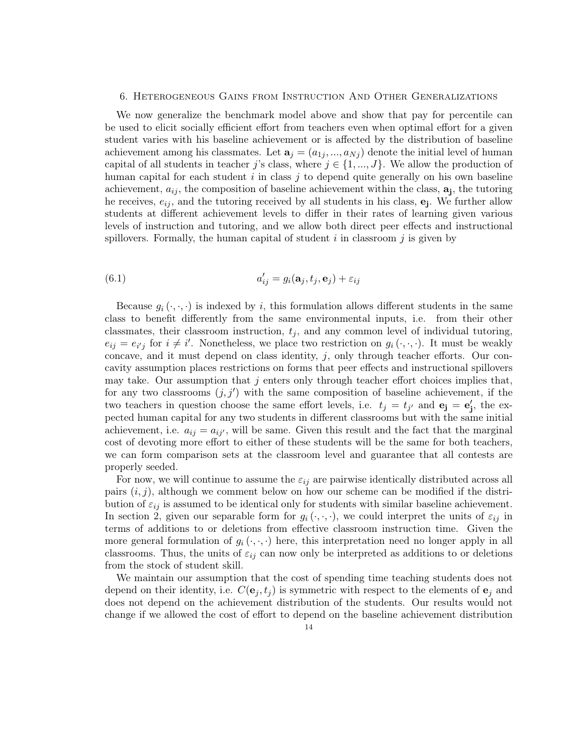#### 6. Heterogeneous Gains from Instruction And Other Generalizations

We now generalize the benchmark model above and show that pay for percentile can be used to elicit socially efficient effort from teachers even when optimal effort for a given student varies with his baseline achievement or is affected by the distribution of baseline achievement among his classmates. Let  $\mathbf{a}_j = (a_{1j},...,a_{Nj})$  denote the initial level of human capital of all students in teacher j's class, where  $j \in \{1, ..., J\}$ . We allow the production of human capital for each student  $i$  in class  $j$  to depend quite generally on his own baseline achievement,  $a_{ij}$ , the composition of baseline achievement within the class,  $\mathbf{a}_{j}$ , the tutoring he receives,  $e_{ij}$ , and the tutoring received by all students in his class,  $\mathbf{e}_j$ . We further allow students at different achievement levels to differ in their rates of learning given various levels of instruction and tutoring, and we allow both direct peer effects and instructional spillovers. Formally, the human capital of student  $i$  in classroom  $j$  is given by

(6.1) 
$$
a'_{ij} = g_i(\mathbf{a}_j, t_j, \mathbf{e}_j) + \varepsilon_{ij}
$$

Because  $g_i(\cdot,\cdot,\cdot)$  is indexed by i, this formulation allows different students in the same class to benefit differently from the same environmental inputs, i.e. from their other classmates, their classroom instruction,  $t_i$ , and any common level of individual tutoring,  $e_{ij} = e_{i'j}$  for  $i \neq i'$ . Nonetheless, we place two restriction on  $g_i(\cdot, \cdot, \cdot)$ . It must be weakly concave, and it must depend on class identity,  $j$ , only through teacher efforts. Our concavity assumption places restrictions on forms that peer effects and instructional spillovers may take. Our assumption that  $j$  enters only through teacher effort choices implies that, for any two classrooms  $(j, j')$  with the same composition of baseline achievement, if the two teachers in question choose the same effort levels, i.e.  $t_j = t_{j'}$  and  $\mathbf{e}_j = \mathbf{e}'_j$ , the expected human capital for any two students in different classrooms but with the same initial achievement, i.e.  $a_{ij} = a_{ij'}$ , will be same. Given this result and the fact that the marginal cost of devoting more effort to either of these students will be the same for both teachers, we can form comparison sets at the classroom level and guarantee that all contests are properly seeded.

For now, we will continue to assume the  $\varepsilon_{ij}$  are pairwise identically distributed across all pairs  $(i, j)$ , although we comment below on how our scheme can be modified if the distribution of  $\varepsilon_{ij}$  is assumed to be identical only for students with similar baseline achievement. In section 2, given our separable form for  $g_i(\cdot, \cdot, \cdot)$ , we could interpret the units of  $\varepsilon_{ij}$  in terms of additions to or deletions from effective classroom instruction time. Given the more general formulation of  $g_i(\cdot,\cdot,\cdot)$  here, this interpretation need no longer apply in all class rooms. Thus, the units of  $\varepsilon_{ij}$  can now only be interpreted as additions to or deletions from the stock of student skill.

We maintain our assumption that the cost of spending time teaching students does not depend on their identity, i.e.  $C(\mathbf{e}_j, t_j)$  is symmetric with respect to the elements of  $\mathbf{e}_j$  and does not depend on the achievement distribution of the students. Our results would not change if we allowed the cost of effort to depend on the baseline achievement distribution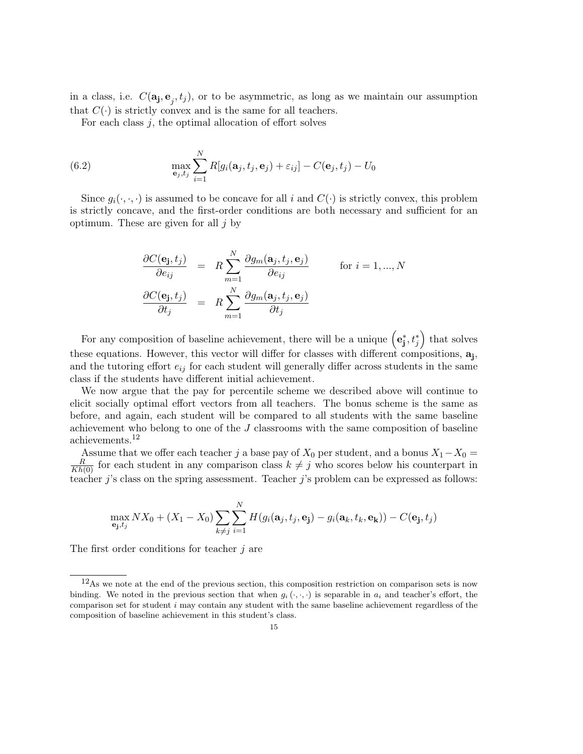in a class, i.e.  $C(\mathbf{a_j}, \mathbf{e}_j, t_j)$ , or to be asymmetric, as long as we maintain our assumption that  $C(\cdot)$  is strictly convex and is the same for all teachers.

For each class  $j$ , the optimal allocation of effort solves

(6.2) 
$$
\max_{\mathbf{e}_j, t_j} \sum_{i=1}^N R[g_i(\mathbf{a}_j, t_j, \mathbf{e}_j) + \varepsilon_{ij}] - C(\mathbf{e}_j, t_j) - U_0
$$

Since  $g_i(\cdot,\cdot,\cdot)$  is assumed to be concave for all i and  $C(\cdot)$  is strictly convex, this problem is strictly concave, and the first-order conditions are both necessary and sufficient for an optimum. These are given for all  $i$  by

$$
\frac{\partial C(\mathbf{e_j}, t_j)}{\partial e_{ij}} = R \sum_{m=1}^{N} \frac{\partial g_m(\mathbf{a}_j, t_j, \mathbf{e}_j)}{\partial e_{ij}} \quad \text{for } i = 1, ..., N
$$

$$
\frac{\partial C(\mathbf{e_j}, t_j)}{\partial t_j} = R \sum_{m=1}^{N} \frac{\partial g_m(\mathbf{a}_j, t_j, \mathbf{e}_j)}{\partial t_j}
$$

For any composition of baseline achievement, there will be a unique  $(e_j^*, t_j^*)$  that solves these equations. However, this vector will differ for classes with different compositions,  $a_j$ , and the tutoring effort  $e_{ij}$  for each student will generally differ across students in the same class if the students have different initial achievement.

We now argue that the pay for percentile scheme we described above will continue to elicit socially optimal effort vectors from all teachers. The bonus scheme is the same as before, and again, each student will be compared to all students with the same baseline achievement who belong to one of the J classrooms with the same composition of baseline achievements.<sup>12</sup>

Assume that we offer each teacher j a base pay of  $X_0$  per student, and a bonus  $X_1 - X_0 =$  $\frac{R}{Kh(0)}$  for each student in any comparison class  $k \neq j$  who scores below his counterpart in teacher  $j$ 's class on the spring assessment. Teacher  $j$ 's problem can be expressed as follows:

$$
\max_{\mathbf{e_j}, t_j} N X_0 + (X_1 - X_0) \sum_{k \neq j} \sum_{i=1}^N H(g_i(\mathbf{a}_j, t_j, \mathbf{e_j}) - g_i(\mathbf{a}_k, t_k, \mathbf{e_k})) - C(\mathbf{e_j}, t_j)
$$

The first order conditions for teacher  $j$  are

<sup>12</sup>As we note at the end of the previous section, this composition restriction on comparison sets is now binding. We noted in the previous section that when  $g_i(\cdot,\cdot,\cdot)$  is separable in  $a_i$  and teacher's effort, the comparison set for student  $i$  may contain any student with the same baseline achievement regardless of the composition of baseline achievement in this student's class.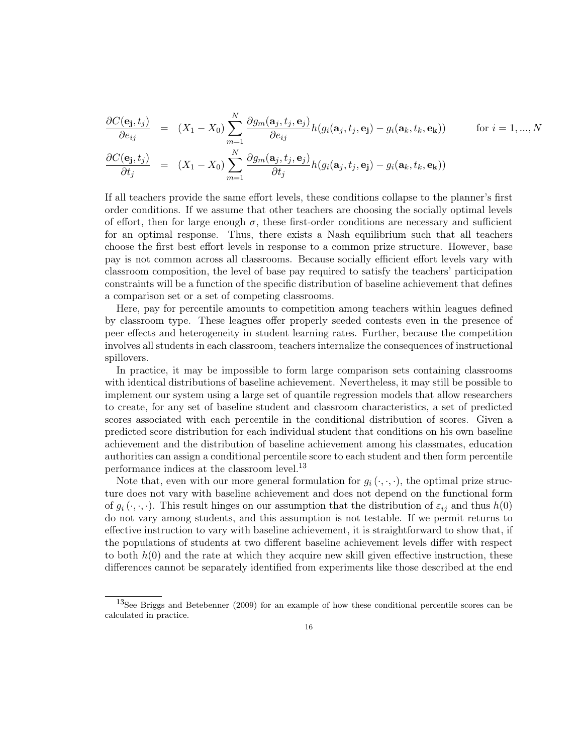$$
\frac{\partial C(\mathbf{e_j}, t_j)}{\partial e_{ij}} = (X_1 - X_0) \sum_{m=1}^N \frac{\partial g_m(\mathbf{a}_j, t_j, \mathbf{e}_j)}{\partial e_{ij}} h(g_i(\mathbf{a}_j, t_j, \mathbf{e}_j) - g_i(\mathbf{a}_k, t_k, \mathbf{e}_k)) \quad \text{for } i = 1, ..., N
$$
\n
$$
\frac{\partial C(\mathbf{e_j}, t_j)}{\partial t_j} = (X_1 - X_0) \sum_{m=1}^N \frac{\partial g_m(\mathbf{a}_j, t_j, \mathbf{e}_j)}{\partial t_j} h(g_i(\mathbf{a}_j, t_j, \mathbf{e}_j) - g_i(\mathbf{a}_k, t_k, \mathbf{e}_k))
$$

If all teachers provide the same effort levels, these conditions collapse to the planner's first order conditions. If we assume that other teachers are choosing the socially optimal levels of effort, then for large enough  $\sigma$ , these first-order conditions are necessary and sufficient for an optimal response. Thus, there exists a Nash equilibrium such that all teachers choose the first best effort levels in response to a common prize structure. However, base pay is not common across all classrooms. Because socially efficient effort levels vary with classroom composition, the level of base pay required to satisfy the teachers' participation constraints will be a function of the specific distribution of baseline achievement that defines a comparison set or a set of competing classrooms.

Here, pay for percentile amounts to competition among teachers within leagues defined by classroom type. These leagues offer properly seeded contests even in the presence of peer effects and heterogeneity in student learning rates. Further, because the competition involves all students in each classroom, teachers internalize the consequences of instructional spillovers.

In practice, it may be impossible to form large comparison sets containing classrooms with identical distributions of baseline achievement. Nevertheless, it may still be possible to implement our system using a large set of quantile regression models that allow researchers to create, for any set of baseline student and classroom characteristics, a set of predicted scores associated with each percentile in the conditional distribution of scores. Given a predicted score distribution for each individual student that conditions on his own baseline achievement and the distribution of baseline achievement among his classmates, education authorities can assign a conditional percentile score to each student and then form percentile performance indices at the classroom level.<sup>13</sup>

Note that, even with our more general formulation for  $g_i(\cdot, \cdot, \cdot)$ , the optimal prize structure does not vary with baseline achievement and does not depend on the functional form of  $g_i(\cdot,\cdot,\cdot)$ . This result hinges on our assumption that the distribution of  $\varepsilon_{ij}$  and thus  $h(0)$ do not vary among students, and this assumption is not testable. If we permit returns to effective instruction to vary with baseline achievement, it is straightforward to show that, if the populations of students at two different baseline achievement levels differ with respect to both  $h(0)$  and the rate at which they acquire new skill given effective instruction, these differences cannot be separately identified from experiments like those described at the end

<sup>&</sup>lt;sup>13</sup>See Briggs and Betebenner (2009) for an example of how these conditional percentile scores can be calculated in practice.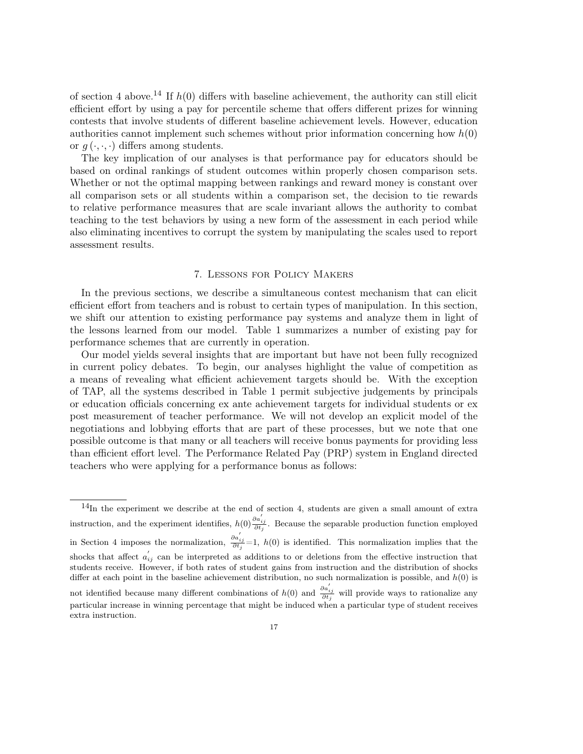of section 4 above.<sup>14</sup> If  $h(0)$  differs with baseline achievement, the authority can still elicit efficient effort by using a pay for percentile scheme that offers different prizes for winning contests that involve students of different baseline achievement levels. However, education authorities cannot implement such schemes without prior information concerning how  $h(0)$ or  $g(\cdot,\cdot,\cdot)$  differs among students.

The key implication of our analyses is that performance pay for educators should be based on ordinal rankings of student outcomes within properly chosen comparison sets. Whether or not the optimal mapping between rankings and reward money is constant over all comparison sets or all students within a comparison set, the decision to tie rewards to relative performance measures that are scale invariant allows the authority to combat teaching to the test behaviors by using a new form of the assessment in each period while also eliminating incentives to corrupt the system by manipulating the scales used to report assessment results.

## 7. Lessons for Policy Makers

In the previous sections, we describe a simultaneous contest mechanism that can elicit efficient effort from teachers and is robust to certain types of manipulation. In this section, we shift our attention to existing performance pay systems and analyze them in light of the lessons learned from our model. Table 1 summarizes a number of existing pay for performance schemes that are currently in operation.

Our model yields several insights that are important but have not been fully recognized in current policy debates. To begin, our analyses highlight the value of competition as a means of revealing what efficient achievement targets should be. With the exception of TAP, all the systems described in Table 1 permit subjective judgements by principals or education officials concerning ex ante achievement targets for individual students or ex post measurement of teacher performance. We will not develop an explicit model of the negotiations and lobbying efforts that are part of these processes, but we note that one possible outcome is that many or all teachers will receive bonus payments for providing less than efficient effort level. The Performance Related Pay (PRP) system in England directed teachers who were applying for a performance bonus as follows:

 $14$ In the experiment we describe at the end of section 4, students are given a small amount of extra instruction, and the experiment identifies,  $h(0) \frac{\partial a'_{ij}}{\partial t_j}$ . Because the separable production function employed in Section 4 imposes the normalization,  $\frac{\partial a'_{ij}}{\partial t_j} = 1$ ,  $h(0)$  is identified. This normalization implies that the shocks that affect  $a'_{ij}$  can be interpreted as additions to or deletions from the effective instruction that students receive. However, if both rates of student gains from instruction and the distribution of shocks differ at each point in the baseline achievement distribution, no such normalization is possible, and  $h(0)$  is not identified because many different combinations of  $h(0)$  and  $\frac{\partial a'_{ij}}{\partial t_j}$  will provide ways to rationalize any particular increase in winning percentage that might be induced when a particular type of student receives extra instruction.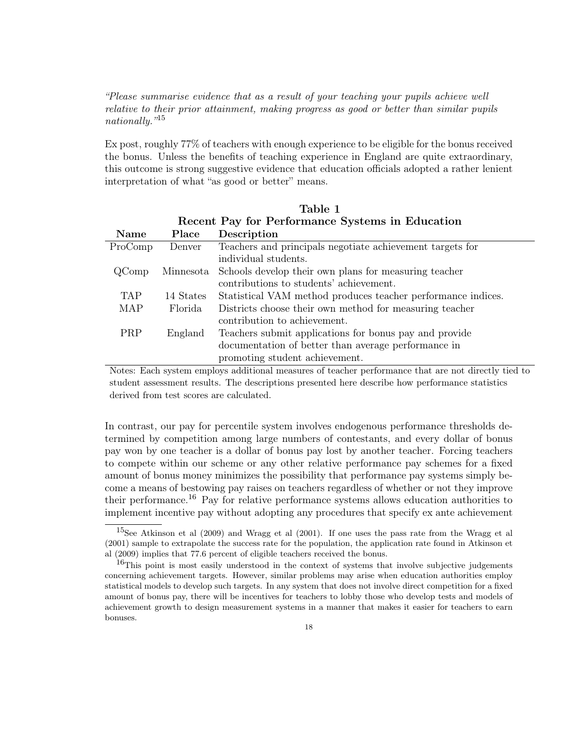"Please summarise evidence that as a result of your teaching your pupils achieve well relative to their prior attainment, making progress as good or better than similar pupils nationally."<sup>15</sup>

Ex post, roughly 77% of teachers with enough experience to be eligible for the bonus received the bonus. Unless the benefits of teaching experience in England are quite extraordinary, this outcome is strong suggestive evidence that education officials adopted a rather lenient interpretation of what "as good or better" means.

Table 1

| Recent Pay for Performance Systems in Education |           |                                                              |
|-------------------------------------------------|-----------|--------------------------------------------------------------|
| Name                                            | Place     | Description                                                  |
| ProComp                                         | Denver    | Teachers and principals negotiate achievement targets for    |
|                                                 |           | individual students.                                         |
| QComp                                           | Minnesota | Schools develop their own plans for measuring teacher        |
|                                                 |           | contributions to students' achievement.                      |
| TAP.                                            | 14 States | Statistical VAM method produces teacher performance indices. |
| MAP                                             | Florida   | Districts choose their own method for measuring teacher      |
|                                                 |           | contribution to achievement.                                 |
| <b>PRP</b>                                      | England   | Teachers submit applications for bonus pay and provide       |
|                                                 |           | documentation of better than average performance in          |
|                                                 |           | promoting student achievement.                               |

Notes: Each system employs additional measures of teacher performance that are not directly tied to student assessment results. The descriptions presented here describe how performance statistics derived from test scores are calculated.

In contrast, our pay for percentile system involves endogenous performance thresholds determined by competition among large numbers of contestants, and every dollar of bonus pay won by one teacher is a dollar of bonus pay lost by another teacher. Forcing teachers to compete within our scheme or any other relative performance pay schemes for a fixed amount of bonus money minimizes the possibility that performance pay systems simply become a means of bestowing pay raises on teachers regardless of whether or not they improve their performance.<sup>16</sup> Pay for relative performance systems allows education authorities to implement incentive pay without adopting any procedures that specify ex ante achievement

<sup>15</sup>See Atkinson et al (2009) and Wragg et al (2001). If one uses the pass rate from the Wragg et al (2001) sample to extrapolate the success rate for the population, the application rate found in Atkinson et al (2009) implies that 77.6 percent of eligible teachers received the bonus.

 $16$ This point is most easily understood in the context of systems that involve subjective judgements concerning achievement targets. However, similar problems may arise when education authorities employ statistical models to develop such targets. In any system that does not involve direct competition for a fixed amount of bonus pay, there will be incentives for teachers to lobby those who develop tests and models of achievement growth to design measurement systems in a manner that makes it easier for teachers to earn bonuses.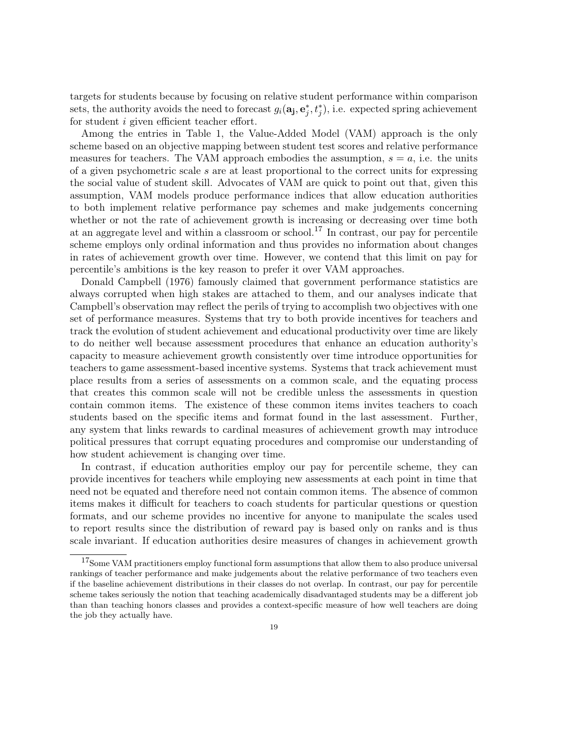targets for students because by focusing on relative student performance within comparison sets, the authority avoids the need to forecast  $g_i(\mathbf{a_j}, \mathbf{e}_j^*, t_j^*)$ , i.e. expected spring achievement for student i given efficient teacher effort.

Among the entries in Table 1, the Value-Added Model (VAM) approach is the only scheme based on an objective mapping between student test scores and relative performance measures for teachers. The VAM approach embodies the assumption,  $s = a$ , i.e. the units of a given psychometric scale s are at least proportional to the correct units for expressing the social value of student skill. Advocates of VAM are quick to point out that, given this assumption, VAM models produce performance indices that allow education authorities to both implement relative performance pay schemes and make judgements concerning whether or not the rate of achievement growth is increasing or decreasing over time both at an aggregate level and within a classroom or school.<sup>17</sup> In contrast, our pay for percentile scheme employs only ordinal information and thus provides no information about changes in rates of achievement growth over time. However, we contend that this limit on pay for percentile's ambitions is the key reason to prefer it over VAM approaches.

Donald Campbell (1976) famously claimed that government performance statistics are always corrupted when high stakes are attached to them, and our analyses indicate that Campbell's observation may reflect the perils of trying to accomplish two objectives with one set of performance measures. Systems that try to both provide incentives for teachers and track the evolution of student achievement and educational productivity over time are likely to do neither well because assessment procedures that enhance an education authority's capacity to measure achievement growth consistently over time introduce opportunities for teachers to game assessment-based incentive systems. Systems that track achievement must place results from a series of assessments on a common scale, and the equating process that creates this common scale will not be credible unless the assessments in question contain common items. The existence of these common items invites teachers to coach students based on the specific items and format found in the last assessment. Further, any system that links rewards to cardinal measures of achievement growth may introduce political pressures that corrupt equating procedures and compromise our understanding of how student achievement is changing over time.

In contrast, if education authorities employ our pay for percentile scheme, they can provide incentives for teachers while employing new assessments at each point in time that need not be equated and therefore need not contain common items. The absence of common items makes it difficult for teachers to coach students for particular questions or question formats, and our scheme provides no incentive for anyone to manipulate the scales used to report results since the distribution of reward pay is based only on ranks and is thus scale invariant. If education authorities desire measures of changes in achievement growth

<sup>&</sup>lt;sup>17</sup>Some VAM practitioners employ functional form assumptions that allow them to also produce universal rankings of teacher performance and make judgements about the relative performance of two teachers even if the baseline achievement distributions in their classes do not overlap. In contrast, our pay for percentile scheme takes seriously the notion that teaching academically disadvantaged students may be a different job than than teaching honors classes and provides a context-specific measure of how well teachers are doing the job they actually have.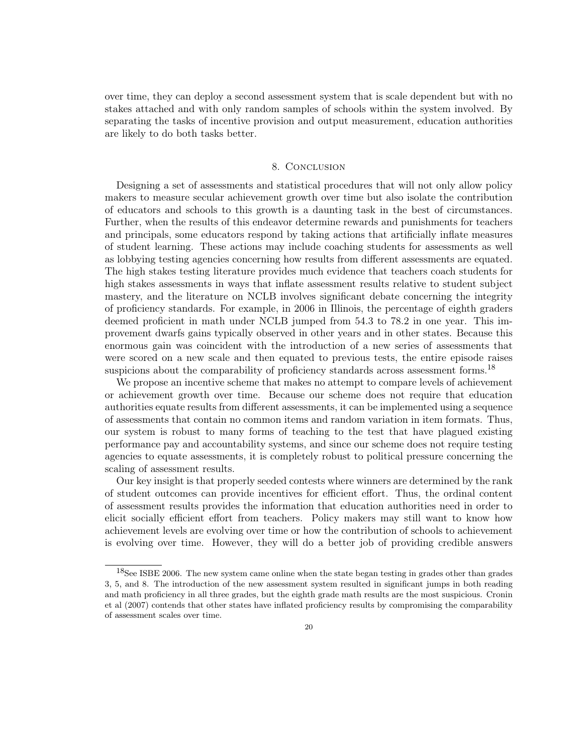over time, they can deploy a second assessment system that is scale dependent but with no stakes attached and with only random samples of schools within the system involved. By separating the tasks of incentive provision and output measurement, education authorities are likely to do both tasks better.

# 8. Conclusion

Designing a set of assessments and statistical procedures that will not only allow policy makers to measure secular achievement growth over time but also isolate the contribution of educators and schools to this growth is a daunting task in the best of circumstances. Further, when the results of this endeavor determine rewards and punishments for teachers and principals, some educators respond by taking actions that artificially inflate measures of student learning. These actions may include coaching students for assessments as well as lobbying testing agencies concerning how results from different assessments are equated. The high stakes testing literature provides much evidence that teachers coach students for high stakes assessments in ways that inflate assessment results relative to student subject mastery, and the literature on NCLB involves significant debate concerning the integrity of proficiency standards. For example, in 2006 in Illinois, the percentage of eighth graders deemed proficient in math under NCLB jumped from 54.3 to 78.2 in one year. This improvement dwarfs gains typically observed in other years and in other states. Because this enormous gain was coincident with the introduction of a new series of assessments that were scored on a new scale and then equated to previous tests, the entire episode raises suspicions about the comparability of proficiency standards across assessment forms.<sup>18</sup>

We propose an incentive scheme that makes no attempt to compare levels of achievement or achievement growth over time. Because our scheme does not require that education authorities equate results from different assessments, it can be implemented using a sequence of assessments that contain no common items and random variation in item formats. Thus, our system is robust to many forms of teaching to the test that have plagued existing performance pay and accountability systems, and since our scheme does not require testing agencies to equate assessments, it is completely robust to political pressure concerning the scaling of assessment results.

Our key insight is that properly seeded contests where winners are determined by the rank of student outcomes can provide incentives for efficient effort. Thus, the ordinal content of assessment results provides the information that education authorities need in order to elicit socially efficient effort from teachers. Policy makers may still want to know how achievement levels are evolving over time or how the contribution of schools to achievement is evolving over time. However, they will do a better job of providing credible answers

<sup>&</sup>lt;sup>18</sup>See ISBE 2006. The new system came online when the state began testing in grades other than grades 3, 5, and 8. The introduction of the new assessment system resulted in significant jumps in both reading and math proficiency in all three grades, but the eighth grade math results are the most suspicious. Cronin et al (2007) contends that other states have inflated proficiency results by compromising the comparability of assessment scales over time.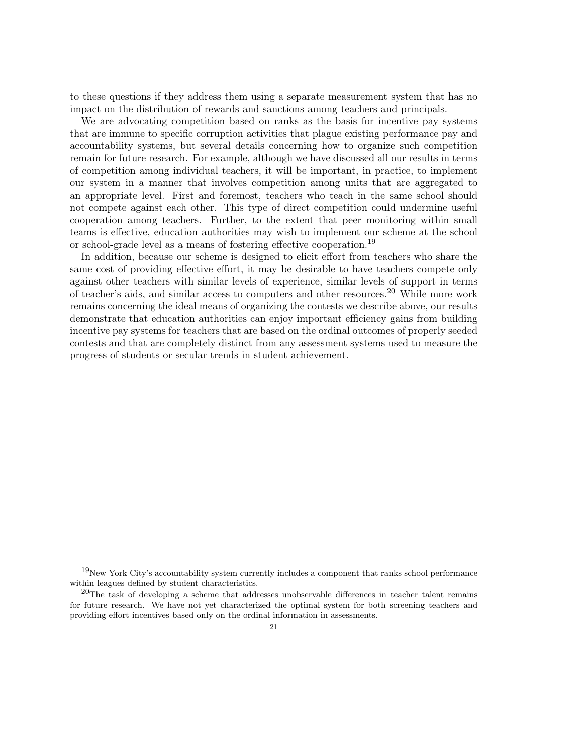to these questions if they address them using a separate measurement system that has no impact on the distribution of rewards and sanctions among teachers and principals.

We are advocating competition based on ranks as the basis for incentive pay systems that are immune to specific corruption activities that plague existing performance pay and accountability systems, but several details concerning how to organize such competition remain for future research. For example, although we have discussed all our results in terms of competition among individual teachers, it will be important, in practice, to implement our system in a manner that involves competition among units that are aggregated to an appropriate level. First and foremost, teachers who teach in the same school should not compete against each other. This type of direct competition could undermine useful cooperation among teachers. Further, to the extent that peer monitoring within small teams is effective, education authorities may wish to implement our scheme at the school or school-grade level as a means of fostering effective cooperation.<sup>19</sup>

In addition, because our scheme is designed to elicit effort from teachers who share the same cost of providing effective effort, it may be desirable to have teachers compete only against other teachers with similar levels of experience, similar levels of support in terms of teacher's aids, and similar access to computers and other resources.<sup>20</sup> While more work remains concerning the ideal means of organizing the contests we describe above, our results demonstrate that education authorities can enjoy important efficiency gains from building incentive pay systems for teachers that are based on the ordinal outcomes of properly seeded contests and that are completely distinct from any assessment systems used to measure the progress of students or secular trends in student achievement.

 $19New$  York City's accountability system currently includes a component that ranks school performance within leagues defined by student characteristics.

 $^{20}$ The task of developing a scheme that addresses unobservable differences in teacher talent remains for future research. We have not yet characterized the optimal system for both screening teachers and providing effort incentives based only on the ordinal information in assessments.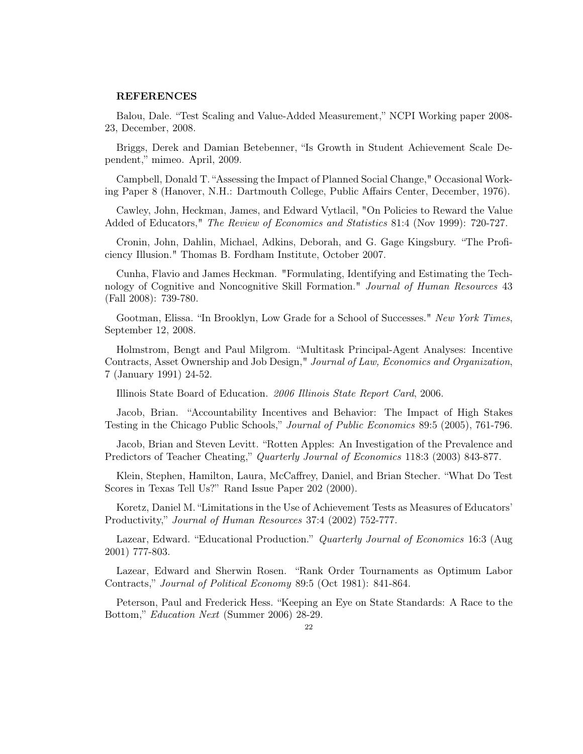#### REFERENCES

Balou, Dale. "Test Scaling and Value-Added Measurement," NCPI Working paper 2008- 23, December, 2008.

Briggs, Derek and Damian Betebenner, "Is Growth in Student Achievement Scale Dependent," mimeo. April, 2009.

Campbell, Donald T. "Assessing the Impact of Planned Social Change," Occasional Working Paper 8 (Hanover, N.H.: Dartmouth College, Public Affairs Center, December, 1976).

Cawley, John, Heckman, James, and Edward Vytlacil, "On Policies to Reward the Value Added of Educators," *The Review of Economics and Statistics* 81:4 (Nov 1999): 720-727.

Cronin, John, Dahlin, Michael, Adkins, Deborah, and G. Gage Kingsbury. "The Proficiency Illusion." Thomas B. Fordham Institute, October 2007.

Cunha, Flavio and James Heckman. "Formulating, Identifying and Estimating the Technology of Cognitive and Noncognitive Skill Formation." Journal of Human Resources 43 (Fall 2008): 739-780.

Gootman, Elissa. "In Brooklyn, Low Grade for a School of Successes." New York Times, September 12, 2008.

Holmstrom, Bengt and Paul Milgrom. "Multitask Principal-Agent Analyses: Incentive Contracts, Asset Ownership and Job Design," Journal of Law, Economics and Organization, 7 (January 1991) 24-52.

Illinois State Board of Education. 2006 Illinois State Report Card, 2006.

Jacob, Brian. "Accountability Incentives and Behavior: The Impact of High Stakes Testing in the Chicago Public Schools," Journal of Public Economics 89:5 (2005), 761-796.

Jacob, Brian and Steven Levitt. "Rotten Apples: An Investigation of the Prevalence and Predictors of Teacher Cheating," Quarterly Journal of Economics 118:3 (2003) 843-877.

Klein, Stephen, Hamilton, Laura, McCaffrey, Daniel, and Brian Stecher. "What Do Test Scores in Texas Tell Us?" Rand Issue Paper 202 (2000).

Koretz, Daniel M. "Limitations in the Use of Achievement Tests as Measures of Educators' Productivity," *Journal of Human Resources* 37:4 (2002) 752-777.

Lazear, Edward. "Educational Production." *Quarterly Journal of Economics* 16:3 (Aug 2001) 777-803.

Lazear, Edward and Sherwin Rosen. "Rank Order Tournaments as Optimum Labor Contracts," Journal of Political Economy 89:5 (Oct 1981): 841-864.

Peterson, Paul and Frederick Hess. "Keeping an Eye on State Standards: A Race to the Bottom," Education Next (Summer 2006) 28-29.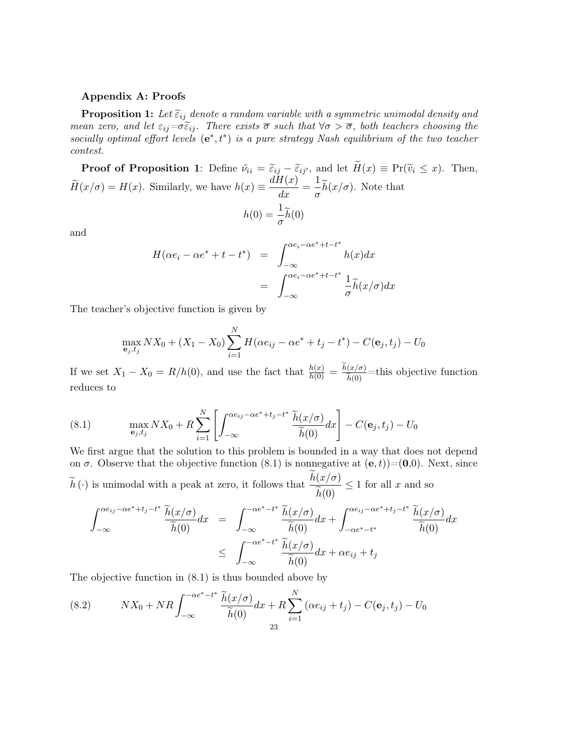# Appendix A: Proofs

**Proposition 1:** Let  $\tilde{\varepsilon}_{ij}$  denote a random variable with a symmetric unimodal density and mean zero, and let  $\varepsilon_{ij}=\sigma\tilde{\varepsilon}_{ij}$ . There exists  $\overline{\sigma}$  such that  $\forall \sigma > \overline{\sigma}$ , both teachers choosing the socially optimal effort levels  $(e^*, t^*)$  is a pure strategy Nash equilibrium of the two teacher contest.

**Proof of Proposition 1**: Define  $\tilde{\nu}_{ii} = \tilde{\varepsilon}_{ij} - \tilde{\varepsilon}_{ij'}$ , and let  $\tilde{H}(x) \equiv Pr(\tilde{\nu}_i \leq x)$ . Then,  $\widetilde{H}(x/\sigma) = H(x)$ . Similarly, we have  $h(x) \equiv \frac{dH(x)}{dx} = \frac{1}{\sigma}$  $\frac{1}{\sigma}h(x/\sigma)$ . Note that  $h(0) = \frac{1}{\sigma} \widetilde{h}(0)$ 

and

$$
H(\alpha e_i - \alpha e^* + t - t^*) = \int_{-\infty}^{\alpha e_i - \alpha e^* + t - t^*} h(x) dx
$$
  
= 
$$
\int_{-\infty}^{\alpha e_i - \alpha e^* + t - t^*} \frac{1}{\sigma} \tilde{h}(x/\sigma) dx
$$

The teacher's objective function is given by

$$
\max_{\mathbf{e}_j, t_j} N X_0 + (X_1 - X_0) \sum_{i=1}^N H(\alpha e_{ij} - \alpha e^* + t_j - t^*) - C(\mathbf{e}_j, t_j) - U_0
$$

If we set  $X_1 - X_0 = R/h(0)$ , and use the fact that  $\frac{h(x)}{h(0)} = \frac{h(x/\sigma)}{\tilde{h}(0)}$ =this objective function reduces to

(8.1) 
$$
\max_{\mathbf{e}_j, t_j} N X_0 + R \sum_{i=1}^N \left[ \int_{-\infty}^{\alpha e_{ij} - \alpha e^* + t_j - t^*} \frac{\tilde{h}(x/\sigma)}{\tilde{h}(0)} dx \right] - C(\mathbf{e}_j, t_j) - U_0
$$

We first argue that the solution to this problem is bounded in a way that does not depend on  $\sigma$ . Observe that the objective function (8.1) is nonnegative at  $(e, t)$ =(0,0). Next, since  $\widetilde{h}(\cdot)$  is unimodal with a peak at zero, it follows that  $\frac{h(x/\sigma)}{\widetilde{h}(0)}$  $h(0)$  $\leq 1$  for all x and so

$$
\int_{-\infty}^{\alpha e_{ij} - \alpha e^* + t_j - t^*} \frac{\widetilde{h}(x/\sigma)}{\widetilde{h}(0)} dx = \int_{-\infty}^{-\alpha e^* - t^*} \frac{\widetilde{h}(x/\sigma)}{\widetilde{h}(0)} dx + \int_{-\alpha e^* - t^*}^{\alpha e_{ij} - \alpha e^* + t_j - t^*} \frac{\widetilde{h}(x/\sigma)}{\widetilde{h}(0)} dx
$$
  

$$
\leq \int_{-\infty}^{-\alpha e^* - t^*} \frac{\widetilde{h}(x/\sigma)}{\widetilde{h}(0)} dx + \alpha e_{ij} + t_j
$$

The objective function in (8.1) is thus bounded above by

(8.2) 
$$
NX_0 + NR \int_{-\infty}^{-\alpha e^* - t^*} \frac{\widetilde{h}(x/\sigma)}{\widetilde{h}(0)} dx + R \sum_{i=1}^N (\alpha e_{ij} + t_j) - C(\mathbf{e}_j, t_j) - U_0
$$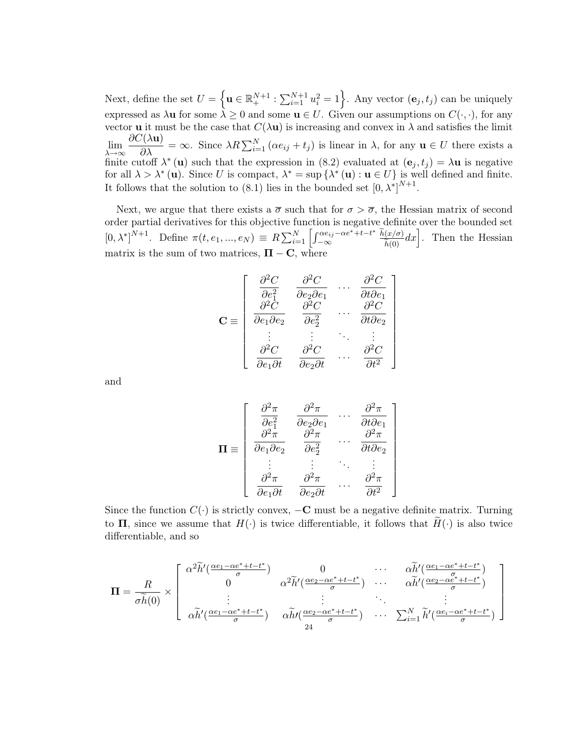Next, define the set  $U = \left\{ \mathbf{u} \in \mathbb{R}^{N+1}_+ : \sum_{i=1}^{N+1} u_i^2 = 1 \right\}$ . Any vector  $(\mathbf{e}_j, t_j)$  can be uniquely expressed as  $\lambda u$  for some  $\lambda \geq 0$  and some  $u \in U$ . Given our assumptions on  $C(\cdot, \cdot)$ , for any vector **u** it must be the case that  $C(\lambda \mathbf{u})$  is increasing and convex in  $\lambda$  and satisfies the limit  $\lim_{\lambda \to \infty}$  $\frac{\partial C(\lambda \mathbf{u})}{\partial \lambda} = \infty$ . Since  $\lambda R \sum_{i=1}^{N} (\alpha e_{ij} + t_j)$  is linear in  $\lambda$ , for any  $\mathbf{u} \in U$  there exists a finite cutoff  $\lambda^*$  (**u**) such that the expression in (8.2) evaluated at  $(e_j, t_j) = \lambda \mathbf{u}$  is negative for all  $\lambda > \lambda^* (\mathbf{u})$ . Since U is compact,  $\lambda^* = \sup \{ \lambda^* (\mathbf{u}) : \mathbf{u} \in U \}$  is well defined and finite. It follows that the solution to (8.1) lies in the bounded set  $[0, \lambda^*]^{N+1}$ .

Next, we argue that there exists a  $\overline{\sigma}$  such that for  $\sigma > \overline{\sigma}$ , the Hessian matrix of second order partial derivatives for this objective function is negative definite over the bounded set  $[0, \lambda^*]^{N+1}$ . Define  $\pi(t, e_1, ..., e_N) \equiv R \sum_{i=1}^N \left[ \int_{-\infty}^{\alpha e_{ij} - \alpha e^* + t - t^*}$  $\left[\frac{\alpha e_{ij} - \alpha e^* + t - t^*}{\alpha} \frac{\tilde{h}(x/\sigma)}{\tilde{h}(0)} dx\right]$ . Then the Hessian matrix is the sum of two matrices,  $\Pi - C$ , where

> 1  $\parallel$  $\perp$  $\mathbf{I}$  $\perp$  $\mathbf{I}$  $\mathbf{I}$  $\mathbf{I}$  $\parallel$  $\mathbf{I}$  $\perp$

$$
\mathbf{C} \equiv \begin{bmatrix} \frac{\partial^2 C}{\partial e_1^2} & \frac{\partial^2 C}{\partial e_2 \partial e_1} & \cdots & \frac{\partial^2 C}{\partial t \partial e_1} \\ \frac{\partial^2 C}{\partial e_1 \partial e_2} & \frac{\partial^2 C}{\partial e_2^2} & \cdots & \frac{\partial^2 C}{\partial t \partial e_2} \\ \vdots & \vdots & \ddots & \vdots \\ \frac{\partial^2 C}{\partial e_1 \partial t} & \frac{\partial^2 C}{\partial e_2 \partial t} & \cdots & \frac{\partial^2 C}{\partial t^2} \end{bmatrix}
$$

and

$$
\mathbf{\Pi} \equiv \left[ \begin{array}{ccc} \frac{\partial^2 \pi}{\partial e_1^2} & \frac{\partial^2 \pi}{\partial e_2 \partial e_1} & \cdots & \frac{\partial^2 \pi}{\partial t \partial e_1} \\ \frac{\partial^2 \pi}{\partial e_1 \partial e_2} & \frac{\partial^2 \pi}{\partial e_2^2} & \cdots & \frac{\partial^2 \pi}{\partial t \partial e_2} \\ \vdots & \vdots & \ddots & \vdots \\ \frac{\partial^2 \pi}{\partial e_1 \partial t} & \frac{\partial^2 \pi}{\partial e_2 \partial t} & \cdots & \frac{\partial^2 \pi}{\partial t^2} \end{array} \right]
$$

Since the function  $C(\cdot)$  is strictly convex,  $-\mathbf{C}$  must be a negative definite matrix. Turning to  $\Pi$ , since we assume that  $H(\cdot)$  is twice differentiable, it follows that  $H(\cdot)$  is also twice differentiable, and so

$$
\mathbf{\Pi} = \frac{R}{\sigma \widetilde{h}(0)} \times \begin{bmatrix} \alpha^2 \widetilde{h}'(\frac{\alpha e_1 - \alpha e^* + t - t^*}{\sigma}) & 0 & \cdots & \alpha \widetilde{h}'(\frac{\alpha e_1 - \alpha e^* + t - t^*}{\sigma}) \\ 0 & \alpha^2 \widetilde{h}'(\frac{\alpha e_2 - \alpha e^* + t - t^*}{\sigma}) & \cdots & \alpha \widetilde{h}'(\frac{\alpha e_2 - \alpha e^* + t - t^*}{\sigma}) \\ \vdots & \vdots & \ddots & \vdots \\ \alpha \widetilde{h}'(\frac{\alpha e_1 - \alpha e^* + t - t^*}{\sigma}) & \alpha \widetilde{h}'(\frac{\alpha e_2 - \alpha e^* + t - t^*}{\sigma}) & \cdots & \sum_{i=1}^N \widetilde{h}'(\frac{\alpha e_i - \alpha e^* + t - t^*}{\sigma}) \end{bmatrix}
$$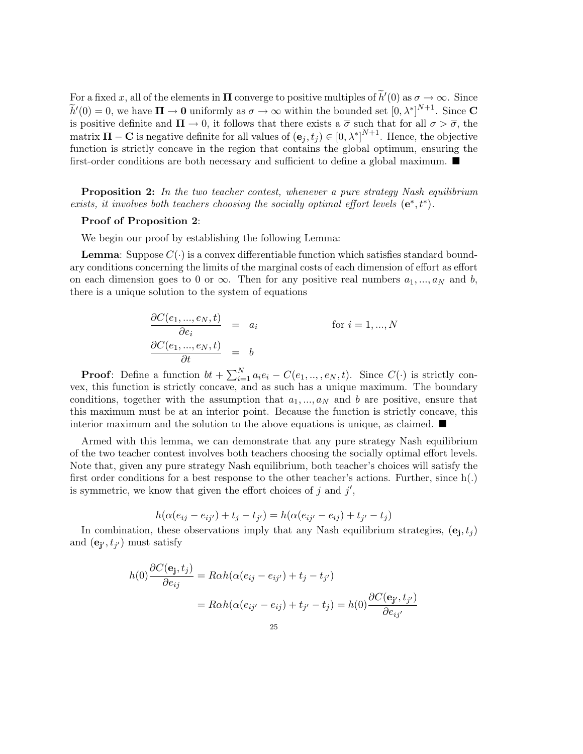For a fixed x, all of the elements in  $\Pi$  converge to positive multiples of  $\tilde{h}'(0)$  as  $\sigma \to \infty$ . Since  $\widetilde{h}'(0) = 0$ , we have  $\Pi \to 0$  uniformly as  $\sigma \to \infty$  within the bounded set  $[0, \lambda^*]^{N+1}$ . Since C is positive definite and  $\Pi \to 0$ , it follows that there exists a  $\overline{\sigma}$  such that for all  $\sigma > \overline{\sigma}$ , the matrix  $\Pi - \mathbf{C}$  is negative definite for all values of  $(\mathbf{e}_j, t_j) \in [0, \lambda^*]^{N+1}$ . Hence, the objective function is strictly concave in the region that contains the global optimum, ensuring the first-order conditions are both necessary and sufficient to define a global maximum.

**Proposition 2:** In the two teacher contest, whenever a pure strategy Nash equilibrium exists, it involves both teachers choosing the socially optimal effort levels  $(e^*, t^*)$ .

#### Proof of Proposition 2:

We begin our proof by establishing the following Lemma:

**Lemma:** Suppose  $C(\cdot)$  is a convex differentiable function which satisfies standard boundary conditions concerning the limits of the marginal costs of each dimension of effort as effort on each dimension goes to 0 or  $\infty$ . Then for any positive real numbers  $a_1, ..., a_N$  and b, there is a unique solution to the system of equations

$$
\frac{\partial C(e_1, ..., e_N, t)}{\partial e_i} = a_i \quad \text{for } i = 1, ..., N
$$
  

$$
\frac{\partial C(e_1, ..., e_N, t)}{\partial t} = b
$$

**Proof**: Define a function  $bt + \sum_{i=1}^{N} a_i e_i - C(e_1, ..., e_N, t)$ . Since  $C(\cdot)$  is strictly convex, this function is strictly concave, and as such has a unique maximum. The boundary conditions, together with the assumption that  $a_1, ..., a_N$  and b are positive, ensure that this maximum must be at an interior point. Because the function is strictly concave, this interior maximum and the solution to the above equations is unique, as claimed.  $\blacksquare$ 

Armed with this lemma, we can demonstrate that any pure strategy Nash equilibrium of the two teacher contest involves both teachers choosing the socially optimal effort levels. Note that, given any pure strategy Nash equilibrium, both teacher's choices will satisfy the first order conditions for a best response to the other teacher's actions. Further, since  $h(.)$ is symmetric, we know that given the effort choices of  $j$  and  $j'$ ,

$$
h(\alpha(e_{ij} - e_{ij'}) + t_j - t_{j'}) = h(\alpha(e_{ij'} - e_{ij}) + t_{j'} - t_j)
$$

In combination, these observations imply that any Nash equilibrium strategies,  $(e_j, t_j)$ and  $(\mathbf{e}_{\mathbf{j'}}, t_{j'})$  must satisfy

$$
h(0)\frac{\partial C(\mathbf{e_j}, t_j)}{\partial e_{ij}} = R\alpha h(\alpha(e_{ij} - e_{ij'}) + t_j - t_{j'})
$$
  
= 
$$
R\alpha h(\alpha(e_{ij'} - e_{ij}) + t_{j'} - t_j) = h(0)\frac{\partial C(\mathbf{e_{j'}}, t_{j'})}{\partial e_{ij'}}
$$